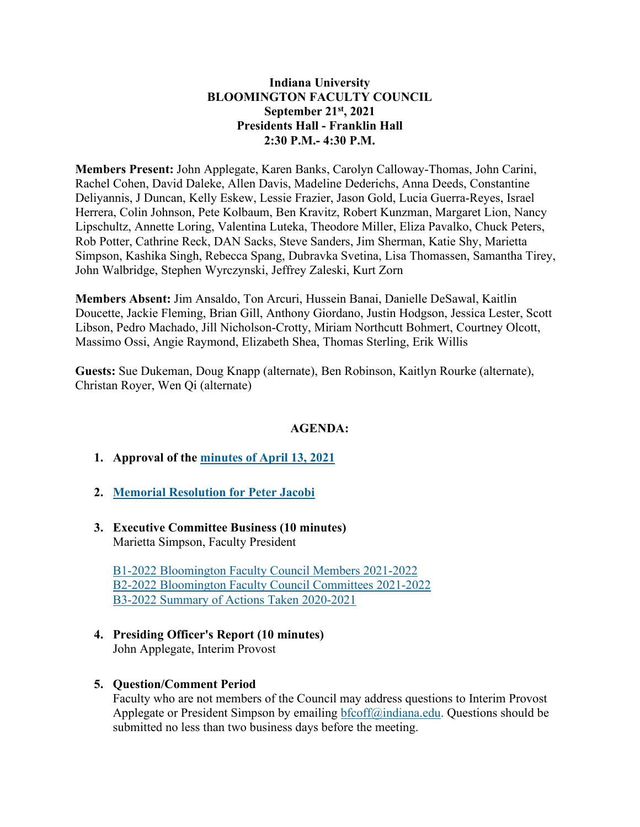## **Indiana University BLOOMINGTON FACULTY COUNCIL September 21st, 2021 Presidents Hall - Franklin Hall 2:30 P.M.- 4:30 P.M.**

**Members Present:** John Applegate, Karen Banks, Carolyn Calloway-Thomas, John Carini, Rachel Cohen, David Daleke, Allen Davis, Madeline Dederichs, Anna Deeds, Constantine Deliyannis, J Duncan, Kelly Eskew, Lessie Frazier, Jason Gold, Lucia Guerra-Reyes, Israel Herrera, Colin Johnson, Pete Kolbaum, Ben Kravitz, Robert Kunzman, Margaret Lion, Nancy Lipschultz, Annette Loring, Valentina Luteka, Theodore Miller, Eliza Pavalko, Chuck Peters, Rob Potter, Cathrine Reck, DAN Sacks, Steve Sanders, Jim Sherman, Katie Shy, Marietta Simpson, Kashika Singh, Rebecca Spang, Dubravka Svetina, Lisa Thomassen, Samantha Tirey, John Walbridge, Stephen Wyrczynski, Jeffrey Zaleski, Kurt Zorn

**Members Absent:** Jim Ansaldo, Ton Arcuri, Hussein Banai, Danielle DeSawal, Kaitlin Doucette, Jackie Fleming, Brian Gill, Anthony Giordano, Justin Hodgson, Jessica Lester, Scott Libson, Pedro Machado, Jill Nicholson-Crotty, Miriam Northcutt Bohmert, Courtney Olcott, Massimo Ossi, Angie Raymond, Elizabeth Shea, Thomas Sterling, Erik Willis

**Guests:** Sue Dukeman, Doug Knapp (alternate), Ben Robinson, Kaitlyn Rourke (alternate), Christan Royer, Wen Qi (alternate)

# **AGENDA:**

- **1. Approval of the [minutes of April 13, 2021](https://bfc.indiana.edu/meetings/2020-2021/20210413/20210413-minutes.pdf)**
- **2. [Memorial Resolution for Peter Jacobi](https://bfc.indiana.edu/meetings/2021-2022/circulars/B4-2022.pdf)**
- **3. Executive Committee Business (10 minutes)** Marietta Simpson, Faculty President

[B1-2022 Bloomington Faculty Council Members 2021-2022](https://bfc.indiana.edu/meetings/2021-2022/circulars/B1-2022.pdf) [B2-2022 Bloomington Faculty Council Committees 2021-2022](https://bfc.indiana.edu/meetings/2021-2022/circulars/B2-2022.pdf) [B3-2022 Summary of Actions Taken 2020-2021](https://bfc.indiana.edu/meetings/2021-2022/circulars/B3-2022.pdf)

# **4. Presiding Officer's Report (10 minutes)**

John Applegate, Interim Provost

#### **5. Question/Comment Period**

Faculty who are not members of the Council may address questions to Interim Provost Applegate or President Simpson by emailing [bfcoff@indiana.edu.](mailto:bfcoff@indiana.edu) Questions should be submitted no less than two business days before the meeting.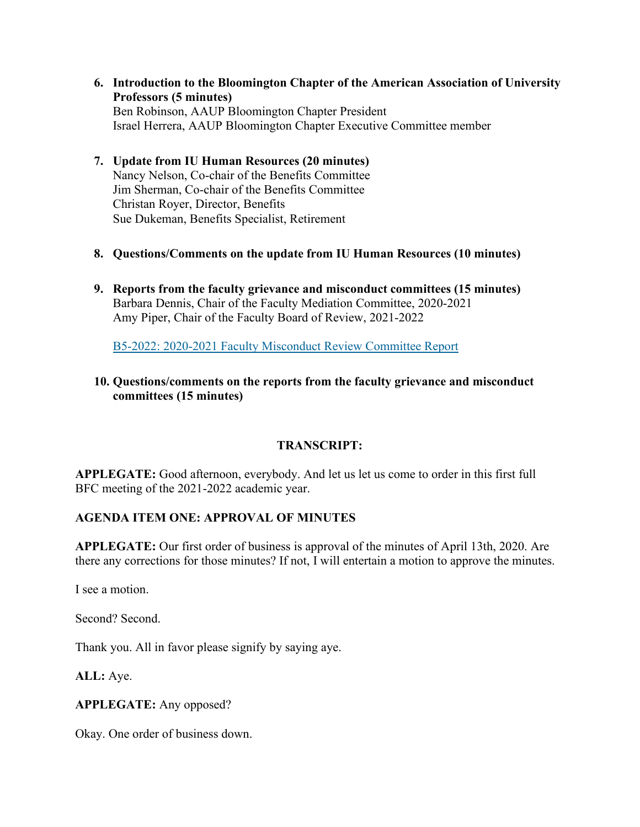**6. Introduction to the Bloomington Chapter of the American Association of University Professors (5 minutes)** Ben Robinson, AAUP Bloomington Chapter President Israel Herrera, AAUP Bloomington Chapter Executive Committee member

## **7. Update from IU Human Resources (20 minutes)** Nancy Nelson, Co-chair of the Benefits Committee Jim Sherman, Co-chair of the Benefits Committee Christan Royer, Director, Benefits Sue Dukeman, Benefits Specialist, Retirement

- **8. Questions/Comments on the update from IU Human Resources (10 minutes)**
- **9. Reports from the faculty grievance and misconduct committees (15 minutes)** Barbara Dennis, Chair of the Faculty Mediation Committee, 2020-2021 Amy Piper, Chair of the Faculty Board of Review, 2021-2022

[B5-2022: 2020-2021 Faculty Misconduct Review Committee Report](https://bfc.indiana.edu/meetings/2021-2022/circulars/B5-2022.pdf)

## **10. Questions/comments on the reports from the faculty grievance and misconduct committees (15 minutes)**

#### **TRANSCRIPT:**

**APPLEGATE:** Good afternoon, everybody. And let us let us come to order in this first full BFC meeting of the 2021-2022 academic year.

#### **AGENDA ITEM ONE: APPROVAL OF MINUTES**

**APPLEGATE:** Our first order of business is approval of the minutes of April 13th, 2020. Are there any corrections for those minutes? If not, I will entertain a motion to approve the minutes.

I see a motion.

Second? Second.

Thank you. All in favor please signify by saying aye.

**ALL:** Aye.

**APPLEGATE:** Any opposed?

Okay. One order of business down.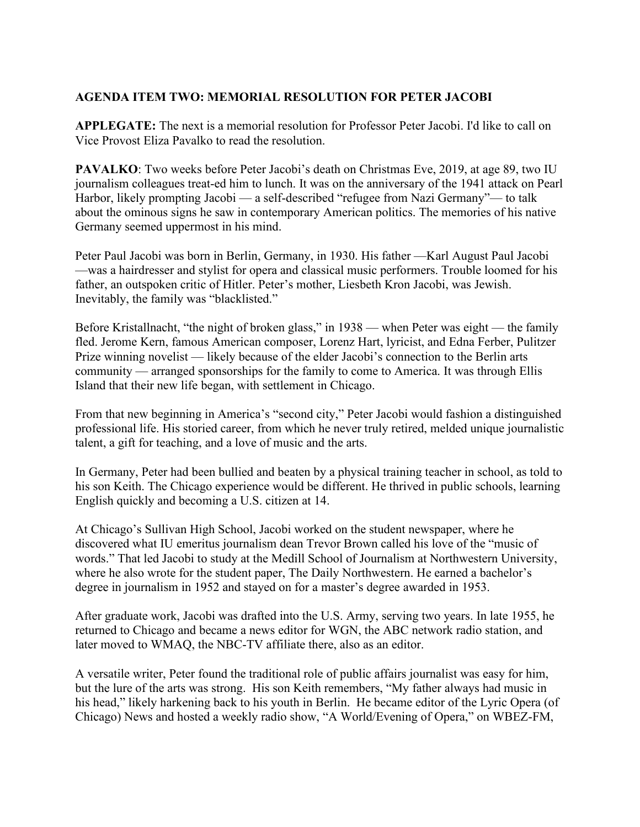# **AGENDA ITEM TWO: MEMORIAL RESOLUTION FOR PETER JACOBI**

**APPLEGATE:** The next is a memorial resolution for Professor Peter Jacobi. I'd like to call on Vice Provost Eliza Pavalko to read the resolution.

**PAVALKO**: Two weeks before Peter Jacobi's death on Christmas Eve, 2019, at age 89, two IU journalism colleagues treat-ed him to lunch. It was on the anniversary of the 1941 attack on Pearl Harbor, likely prompting Jacobi — a self-described "refugee from Nazi Germany"— to talk about the ominous signs he saw in contemporary American politics. The memories of his native Germany seemed uppermost in his mind.

Peter Paul Jacobi was born in Berlin, Germany, in 1930. His father —Karl August Paul Jacobi —was a hairdresser and stylist for opera and classical music performers. Trouble loomed for his father, an outspoken critic of Hitler. Peter's mother, Liesbeth Kron Jacobi, was Jewish. Inevitably, the family was "blacklisted."

Before Kristallnacht, "the night of broken glass," in 1938 — when Peter was eight — the family fled. Jerome Kern, famous American composer, Lorenz Hart, lyricist, and Edna Ferber, Pulitzer Prize winning novelist — likely because of the elder Jacobi's connection to the Berlin arts community — arranged sponsorships for the family to come to America. It was through Ellis Island that their new life began, with settlement in Chicago.

From that new beginning in America's "second city," Peter Jacobi would fashion a distinguished professional life. His storied career, from which he never truly retired, melded unique journalistic talent, a gift for teaching, and a love of music and the arts.

In Germany, Peter had been bullied and beaten by a physical training teacher in school, as told to his son Keith. The Chicago experience would be different. He thrived in public schools, learning English quickly and becoming a U.S. citizen at 14.

At Chicago's Sullivan High School, Jacobi worked on the student newspaper, where he discovered what IU emeritus journalism dean Trevor Brown called his love of the "music of words." That led Jacobi to study at the Medill School of Journalism at Northwestern University, where he also wrote for the student paper, The Daily Northwestern. He earned a bachelor's degree in journalism in 1952 and stayed on for a master's degree awarded in 1953.

After graduate work, Jacobi was drafted into the U.S. Army, serving two years. In late 1955, he returned to Chicago and became a news editor for WGN, the ABC network radio station, and later moved to WMAQ, the NBC-TV affiliate there, also as an editor.

A versatile writer, Peter found the traditional role of public affairs journalist was easy for him, but the lure of the arts was strong. His son Keith remembers, "My father always had music in his head," likely harkening back to his youth in Berlin. He became editor of the Lyric Opera (of Chicago) News and hosted a weekly radio show, "A World/Evening of Opera," on WBEZ-FM,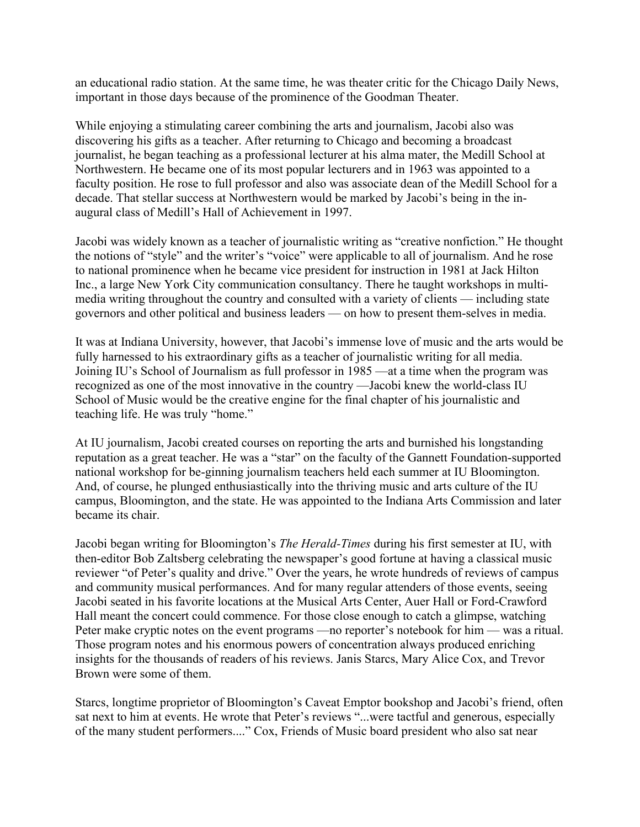an educational radio station. At the same time, he was theater critic for the Chicago Daily News, important in those days because of the prominence of the Goodman Theater.

While enjoying a stimulating career combining the arts and journalism, Jacobi also was discovering his gifts as a teacher. After returning to Chicago and becoming a broadcast journalist, he began teaching as a professional lecturer at his alma mater, the Medill School at Northwestern. He became one of its most popular lecturers and in 1963 was appointed to a faculty position. He rose to full professor and also was associate dean of the Medill School for a decade. That stellar success at Northwestern would be marked by Jacobi's being in the inaugural class of Medill's Hall of Achievement in 1997.

Jacobi was widely known as a teacher of journalistic writing as "creative nonfiction." He thought the notions of "style" and the writer's "voice" were applicable to all of journalism. And he rose to national prominence when he became vice president for instruction in 1981 at Jack Hilton Inc., a large New York City communication consultancy. There he taught workshops in multimedia writing throughout the country and consulted with a variety of clients — including state governors and other political and business leaders — on how to present them-selves in media.

It was at Indiana University, however, that Jacobi's immense love of music and the arts would be fully harnessed to his extraordinary gifts as a teacher of journalistic writing for all media. Joining IU's School of Journalism as full professor in 1985 —at a time when the program was recognized as one of the most innovative in the country —Jacobi knew the world-class IU School of Music would be the creative engine for the final chapter of his journalistic and teaching life. He was truly "home."

At IU journalism, Jacobi created courses on reporting the arts and burnished his longstanding reputation as a great teacher. He was a "star" on the faculty of the Gannett Foundation-supported national workshop for be-ginning journalism teachers held each summer at IU Bloomington. And, of course, he plunged enthusiastically into the thriving music and arts culture of the IU campus, Bloomington, and the state. He was appointed to the Indiana Arts Commission and later became its chair.

Jacobi began writing for Bloomington's *The Herald-Times* during his first semester at IU, with then-editor Bob Zaltsberg celebrating the newspaper's good fortune at having a classical music reviewer "of Peter's quality and drive." Over the years, he wrote hundreds of reviews of campus and community musical performances. And for many regular attenders of those events, seeing Jacobi seated in his favorite locations at the Musical Arts Center, Auer Hall or Ford-Crawford Hall meant the concert could commence. For those close enough to catch a glimpse, watching Peter make cryptic notes on the event programs —no reporter's notebook for him — was a ritual. Those program notes and his enormous powers of concentration always produced enriching insights for the thousands of readers of his reviews. Janis Starcs, Mary Alice Cox, and Trevor Brown were some of them.

Starcs, longtime proprietor of Bloomington's Caveat Emptor bookshop and Jacobi's friend, often sat next to him at events. He wrote that Peter's reviews "...were tactful and generous, especially of the many student performers...." Cox, Friends of Music board president who also sat near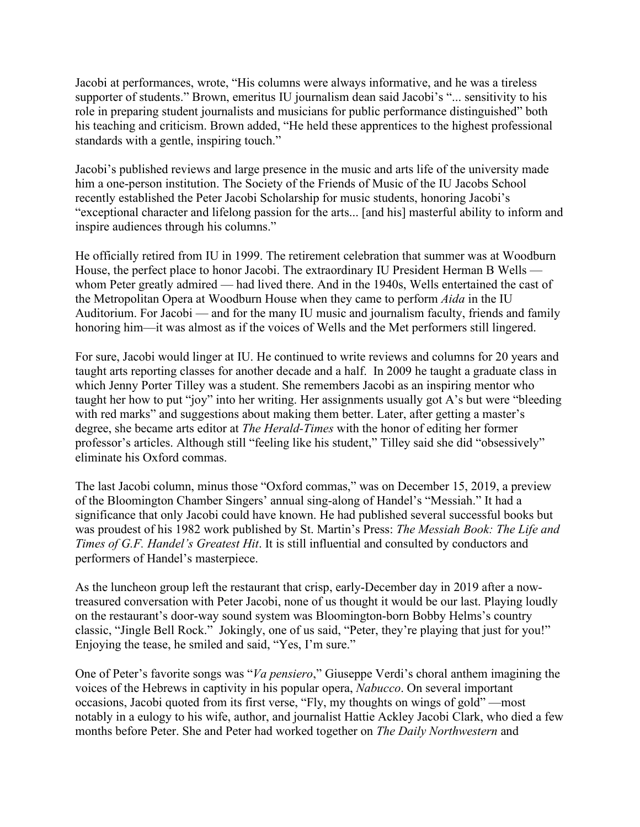Jacobi at performances, wrote, "His columns were always informative, and he was a tireless supporter of students." Brown, emeritus IU journalism dean said Jacobi's "... sensitivity to his role in preparing student journalists and musicians for public performance distinguished" both his teaching and criticism. Brown added, "He held these apprentices to the highest professional standards with a gentle, inspiring touch."

Jacobi's published reviews and large presence in the music and arts life of the university made him a one-person institution. The Society of the Friends of Music of the IU Jacobs School recently established the Peter Jacobi Scholarship for music students, honoring Jacobi's "exceptional character and lifelong passion for the arts... [and his] masterful ability to inform and inspire audiences through his columns."

He officially retired from IU in 1999. The retirement celebration that summer was at Woodburn House, the perfect place to honor Jacobi. The extraordinary IU President Herman B Wells whom Peter greatly admired — had lived there. And in the 1940s, Wells entertained the cast of the Metropolitan Opera at Woodburn House when they came to perform *Aida* in the IU Auditorium. For Jacobi — and for the many IU music and journalism faculty, friends and family honoring him—it was almost as if the voices of Wells and the Met performers still lingered.

For sure, Jacobi would linger at IU. He continued to write reviews and columns for 20 years and taught arts reporting classes for another decade and a half. In 2009 he taught a graduate class in which Jenny Porter Tilley was a student. She remembers Jacobi as an inspiring mentor who taught her how to put "joy" into her writing. Her assignments usually got A's but were "bleeding with red marks" and suggestions about making them better. Later, after getting a master's degree, she became arts editor at *The Herald-Times* with the honor of editing her former professor's articles. Although still "feeling like his student," Tilley said she did "obsessively" eliminate his Oxford commas.

The last Jacobi column, minus those "Oxford commas," was on December 15, 2019, a preview of the Bloomington Chamber Singers' annual sing-along of Handel's "Messiah." It had a significance that only Jacobi could have known. He had published several successful books but was proudest of his 1982 work published by St. Martin's Press: *The Messiah Book: The Life and Times of G.F. Handel's Greatest Hit*. It is still influential and consulted by conductors and performers of Handel's masterpiece.

As the luncheon group left the restaurant that crisp, early-December day in 2019 after a nowtreasured conversation with Peter Jacobi, none of us thought it would be our last. Playing loudly on the restaurant's door-way sound system was Bloomington-born Bobby Helms's country classic, "Jingle Bell Rock." Jokingly, one of us said, "Peter, they're playing that just for you!" Enjoying the tease, he smiled and said, "Yes, I'm sure."

One of Peter's favorite songs was "*Va pensiero*," Giuseppe Verdi's choral anthem imagining the voices of the Hebrews in captivity in his popular opera, *Nabucco*. On several important occasions, Jacobi quoted from its first verse, "Fly, my thoughts on wings of gold" —most notably in a eulogy to his wife, author, and journalist Hattie Ackley Jacobi Clark, who died a few months before Peter. She and Peter had worked together on *The Daily Northwestern* and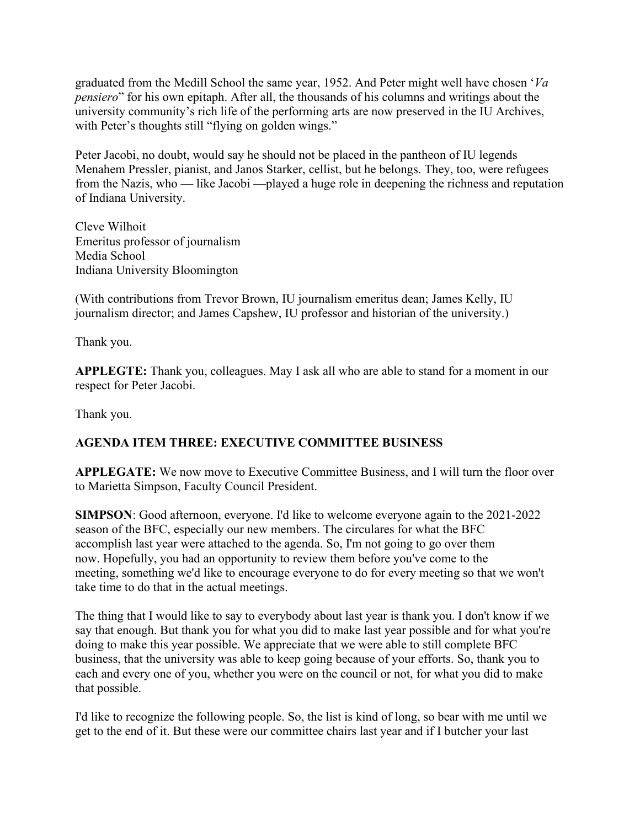graduated from the Medill School the same year, 1952. And Peter might well have chosen '*Va pensiero*" for his own epitaph. After all, the thousands of his columns and writings about the university community's rich life of the performing arts are now preserved in the IU Archives, with Peter's thoughts still "flying on golden wings."

Peter Jacobi, no doubt, would say he should not be placed in the pantheon of IU legends Menahem Pressler, pianist, and Janos Starker, cellist, but he belongs. They, too, were refugees from the Nazis, who — like Jacobi —played a huge role in deepening the richness and reputation of Indiana University.

Cleve Wilhoit Emeritus professor of journalism Media School Indiana University Bloomington

(With contributions from Trevor Brown, IU journalism emeritus dean; James Kelly, IU journalism director; and James Capshew, IU professor and historian of the university.)

Thank you.

**APPLEGTE:** Thank you, colleagues. May I ask all who are able to stand for a moment in our respect for Peter Jacobi.

Thank you.

# **AGENDA ITEM THREE: EXECUTIVE COMMITTEE BUSINESS**

**APPLEGATE:** We now move to Executive Committee Business, and I will turn the floor over to Marietta Simpson, Faculty Council President.

**SIMPSON**: Good afternoon, everyone. I'd like to welcome everyone again to the 2021-2022 season of the BFC, especially our new members. The circulares for what the BFC accomplish last year were attached to the agenda. So, I'm not going to go over them now. Hopefully, you had an opportunity to review them before you've come to the meeting, something we'd like to encourage everyone to do for every meeting so that we won't take time to do that in the actual meetings.

The thing that I would like to say to everybody about last year is thank you. I don't know if we say that enough. But thank you for what you did to make last year possible and for what you're doing to make this year possible. We appreciate that we were able to still complete BFC business, that the university was able to keep going because of your efforts. So, thank you to each and every one of you, whether you were on the council or not, for what you did to make that possible.

I'd like to recognize the following people. So, the list is kind of long, so bear with me until we get to the end of it. But these were our committee chairs last year and if I butcher your last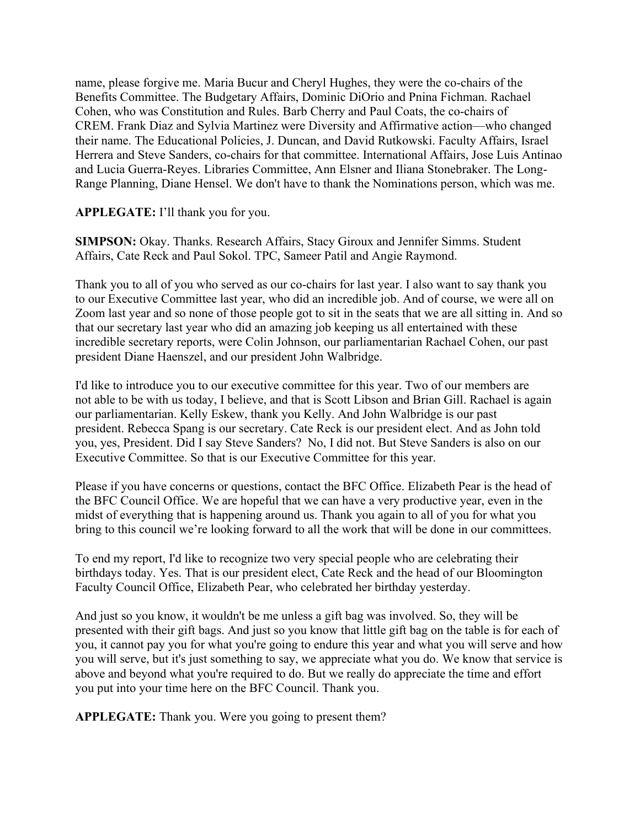name, please forgive me. Maria Bucur and Cheryl Hughes, they were the co-chairs of the Benefits Committee. The Budgetary Affairs, Dominic DiOrio and Pnina Fichman. Rachael Cohen, who was Constitution and Rules. Barb Cherry and Paul Coats, the co-chairs of CREM. Frank Diaz and Sylvia Martinez were Diversity and Affirmative action—who changed their name. The Educational Policies, J. Duncan, and David Rutkowski. Faculty Affairs, Israel Herrera and Steve Sanders, co-chairs for that committee. International Affairs, Jose Luis Antinao and Lucia Guerra-Reyes. Libraries Committee, Ann Elsner and Iliana Stonebraker. The Long-Range Planning, Diane Hensel. We don't have to thank the Nominations person, which was me.

# **APPLEGATE:** I'll thank you for you.

**SIMPSON:** Okay. Thanks. Research Affairs, Stacy Giroux and Jennifer Simms. Student Affairs, Cate Reck and Paul Sokol. TPC, Sameer Patil and Angie Raymond.

Thank you to all of you who served as our co-chairs for last year. I also want to say thank you to our Executive Committee last year, who did an incredible job. And of course, we were all on Zoom last year and so none of those people got to sit in the seats that we are all sitting in. And so that our secretary last year who did an amazing job keeping us all entertained with these incredible secretary reports, were Colin Johnson, our parliamentarian Rachael Cohen, our past president Diane Haenszel, and our president John Walbridge.

I'd like to introduce you to our executive committee for this year. Two of our members are not able to be with us today, I believe, and that is Scott Libson and Brian Gill. Rachael is again our parliamentarian. Kelly Eskew, thank you Kelly. And John Walbridge is our past president. Rebecca Spang is our secretary. Cate Reck is our president elect. And as John told you, yes, President. Did I say Steve Sanders? No, I did not. But Steve Sanders is also on our Executive Committee. So that is our Executive Committee for this year.

Please if you have concerns or questions, contact the BFC Office. Elizabeth Pear is the head of the BFC Council Office. We are hopeful that we can have a very productive year, even in the midst of everything that is happening around us. Thank you again to all of you for what you bring to this council we're looking forward to all the work that will be done in our committees.

To end my report, I'd like to recognize two very special people who are celebrating their birthdays today. Yes. That is our president elect, Cate Reck and the head of our Bloomington Faculty Council Office, Elizabeth Pear, who celebrated her birthday yesterday.

And just so you know, it wouldn't be me unless a gift bag was involved. So, they will be presented with their gift bags. And just so you know that little gift bag on the table is for each of you, it cannot pay you for what you're going to endure this year and what you will serve and how you will serve, but it's just something to say, we appreciate what you do. We know that service is above and beyond what you're required to do. But we really do appreciate the time and effort you put into your time here on the BFC Council. Thank you.

**APPLEGATE:** Thank you. Were you going to present them?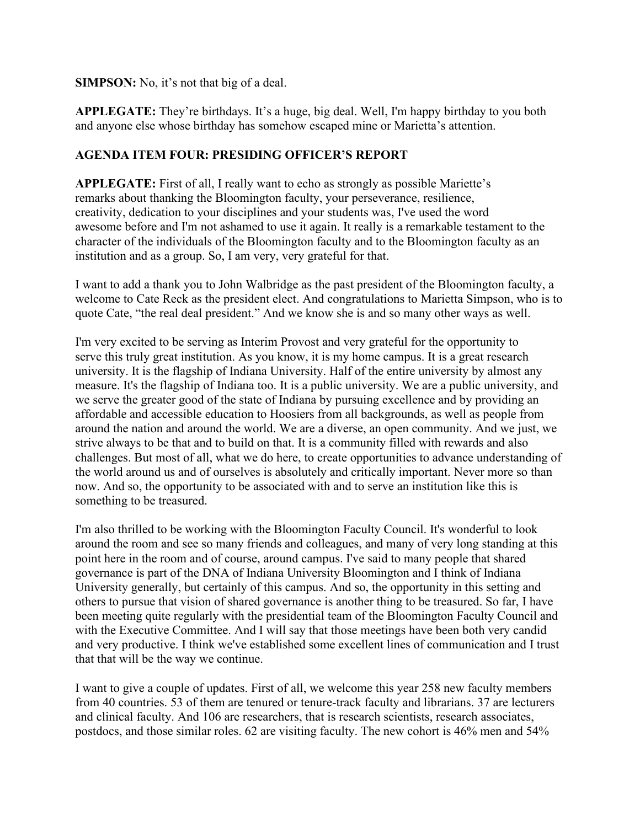#### **SIMPSON:** No, it's not that big of a deal.

**APPLEGATE:** They're birthdays. It's a huge, big deal. Well, I'm happy birthday to you both and anyone else whose birthday has somehow escaped mine or Marietta's attention.

# **AGENDA ITEM FOUR: PRESIDING OFFICER'S REPORT**

**APPLEGATE:** First of all, I really want to echo as strongly as possible Mariette's remarks about thanking the Bloomington faculty, your perseverance, resilience, creativity, dedication to your disciplines and your students was, I've used the word awesome before and I'm not ashamed to use it again. It really is a remarkable testament to the character of the individuals of the Bloomington faculty and to the Bloomington faculty as an institution and as a group. So, I am very, very grateful for that.

I want to add a thank you to John Walbridge as the past president of the Bloomington faculty, a welcome to Cate Reck as the president elect. And congratulations to Marietta Simpson, who is to quote Cate, "the real deal president." And we know she is and so many other ways as well.

I'm very excited to be serving as Interim Provost and very grateful for the opportunity to serve this truly great institution. As you know, it is my home campus. It is a great research university. It is the flagship of Indiana University. Half of the entire university by almost any measure. It's the flagship of Indiana too. It is a public university. We are a public university, and we serve the greater good of the state of Indiana by pursuing excellence and by providing an affordable and accessible education to Hoosiers from all backgrounds, as well as people from around the nation and around the world. We are a diverse, an open community. And we just, we strive always to be that and to build on that. It is a community filled with rewards and also challenges. But most of all, what we do here, to create opportunities to advance understanding of the world around us and of ourselves is absolutely and critically important. Never more so than now. And so, the opportunity to be associated with and to serve an institution like this is something to be treasured.

I'm also thrilled to be working with the Bloomington Faculty Council. It's wonderful to look around the room and see so many friends and colleagues, and many of very long standing at this point here in the room and of course, around campus. I've said to many people that shared governance is part of the DNA of Indiana University Bloomington and I think of Indiana University generally, but certainly of this campus. And so, the opportunity in this setting and others to pursue that vision of shared governance is another thing to be treasured. So far, I have been meeting quite regularly with the presidential team of the Bloomington Faculty Council and with the Executive Committee. And I will say that those meetings have been both very candid and very productive. I think we've established some excellent lines of communication and I trust that that will be the way we continue.

I want to give a couple of updates. First of all, we welcome this year 258 new faculty members from 40 countries. 53 of them are tenured or tenure-track faculty and librarians. 37 are lecturers and clinical faculty. And 106 are researchers, that is research scientists, research associates, postdocs, and those similar roles. 62 are visiting faculty. The new cohort is 46% men and 54%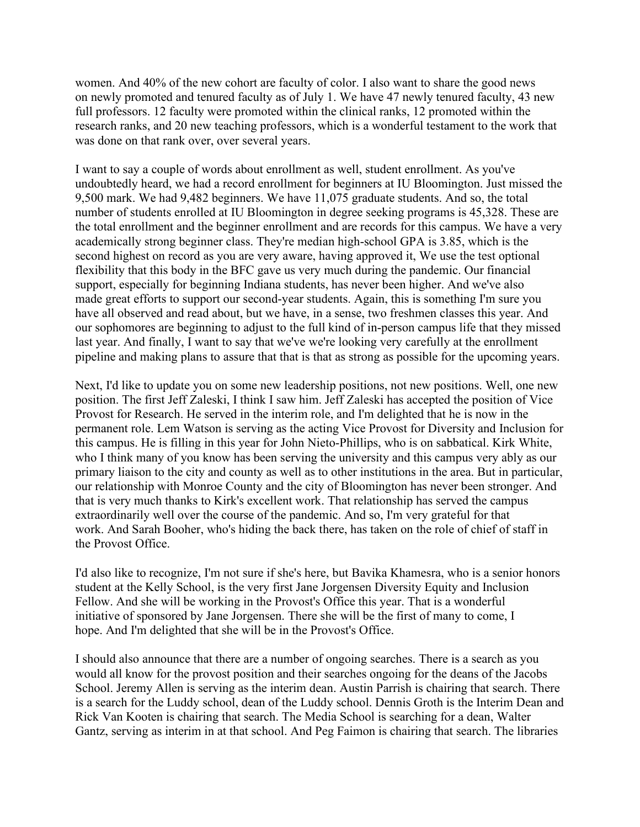women. And 40% of the new cohort are faculty of color. I also want to share the good news on newly promoted and tenured faculty as of July 1. We have 47 newly tenured faculty, 43 new full professors. 12 faculty were promoted within the clinical ranks, 12 promoted within the research ranks, and 20 new teaching professors, which is a wonderful testament to the work that was done on that rank over, over several years.

I want to say a couple of words about enrollment as well, student enrollment. As you've undoubtedly heard, we had a record enrollment for beginners at IU Bloomington. Just missed the 9,500 mark. We had 9,482 beginners. We have 11,075 graduate students. And so, the total number of students enrolled at IU Bloomington in degree seeking programs is 45,328. These are the total enrollment and the beginner enrollment and are records for this campus. We have a very academically strong beginner class. They're median high-school GPA is 3.85, which is the second highest on record as you are very aware, having approved it, We use the test optional flexibility that this body in the BFC gave us very much during the pandemic. Our financial support, especially for beginning Indiana students, has never been higher. And we've also made great efforts to support our second-year students. Again, this is something I'm sure you have all observed and read about, but we have, in a sense, two freshmen classes this year. And our sophomores are beginning to adjust to the full kind of in-person campus life that they missed last year. And finally, I want to say that we've we're looking very carefully at the enrollment pipeline and making plans to assure that that is that as strong as possible for the upcoming years.

Next, I'd like to update you on some new leadership positions, not new positions. Well, one new position. The first Jeff Zaleski, I think I saw him. Jeff Zaleski has accepted the position of Vice Provost for Research. He served in the interim role, and I'm delighted that he is now in the permanent role. Lem Watson is serving as the acting Vice Provost for Diversity and Inclusion for this campus. He is filling in this year for John Nieto-Phillips, who is on sabbatical. Kirk White, who I think many of you know has been serving the university and this campus very ably as our primary liaison to the city and county as well as to other institutions in the area. But in particular, our relationship with Monroe County and the city of Bloomington has never been stronger. And that is very much thanks to Kirk's excellent work. That relationship has served the campus extraordinarily well over the course of the pandemic. And so, I'm very grateful for that work. And Sarah Booher, who's hiding the back there, has taken on the role of chief of staff in the Provost Office.

I'd also like to recognize, I'm not sure if she's here, but Bavika Khamesra, who is a senior honors student at the Kelly School, is the very first Jane Jorgensen Diversity Equity and Inclusion Fellow. And she will be working in the Provost's Office this year. That is a wonderful initiative of sponsored by Jane Jorgensen. There she will be the first of many to come, I hope. And I'm delighted that she will be in the Provost's Office.

I should also announce that there are a number of ongoing searches. There is a search as you would all know for the provost position and their searches ongoing for the deans of the Jacobs School. Jeremy Allen is serving as the interim dean. Austin Parrish is chairing that search. There is a search for the Luddy school, dean of the Luddy school. Dennis Groth is the Interim Dean and Rick Van Kooten is chairing that search. The Media School is searching for a dean, Walter Gantz, serving as interim in at that school. And Peg Faimon is chairing that search. The libraries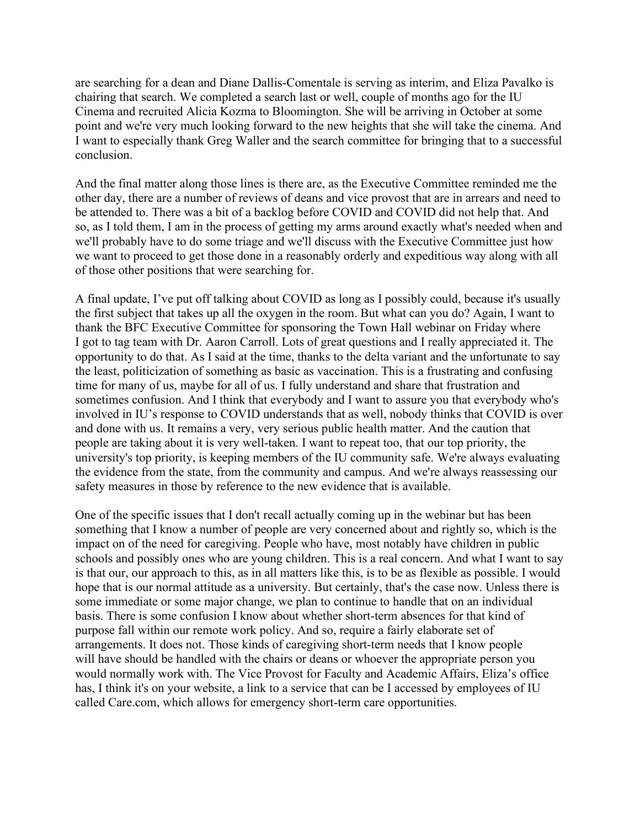are searching for a dean and Diane Dallis-Comentale is serving as interim, and Eliza Pavalko is chairing that search. We completed a search last or well, couple of months ago for the IU Cinema and recruited Alicia Kozma to Bloomington. She will be arriving in October at some point and we're very much looking forward to the new heights that she will take the cinema. And I want to especially thank Greg Waller and the search committee for bringing that to a successful conclusion.

And the final matter along those lines is there are, as the Executive Committee reminded me the other day, there are a number of reviews of deans and vice provost that are in arrears and need to be attended to. There was a bit of a backlog before COVID and COVID did not help that. And so, as I told them, I am in the process of getting my arms around exactly what's needed when and we'll probably have to do some triage and we'll discuss with the Executive Committee just how we want to proceed to get those done in a reasonably orderly and expeditious way along with all of those other positions that were searching for.

A final update, I've put off talking about COVID as long as I possibly could, because it's usually the first subject that takes up all the oxygen in the room. But what can you do? Again, I want to thank the BFC Executive Committee for sponsoring the Town Hall webinar on Friday where I got to tag team with Dr. Aaron Carroll. Lots of great questions and I really appreciated it. The opportunity to do that. As I said at the time, thanks to the delta variant and the unfortunate to say the least, politicization of something as basic as vaccination. This is a frustrating and confusing time for many of us, maybe for all of us. I fully understand and share that frustration and sometimes confusion. And I think that everybody and I want to assure you that everybody who's involved in IU's response to COVID understands that as well, nobody thinks that COVID is over and done with us. It remains a very, very serious public health matter. And the caution that people are taking about it is very well-taken. I want to repeat too, that our top priority, the university's top priority, is keeping members of the IU community safe. We're always evaluating the evidence from the state, from the community and campus. And we're always reassessing our safety measures in those by reference to the new evidence that is available.

One of the specific issues that I don't recall actually coming up in the webinar but has been something that I know a number of people are very concerned about and rightly so, which is the impact on of the need for caregiving. People who have, most notably have children in public schools and possibly ones who are young children. This is a real concern. And what I want to say is that our, our approach to this, as in all matters like this, is to be as flexible as possible. I would hope that is our normal attitude as a university. But certainly, that's the case now. Unless there is some immediate or some major change, we plan to continue to handle that on an individual basis. There is some confusion I know about whether short-term absences for that kind of purpose fall within our remote work policy. And so, require a fairly elaborate set of arrangements. It does not. Those kinds of caregiving short-term needs that I know people will have should be handled with the chairs or deans or whoever the appropriate person you would normally work with. The Vice Provost for Faculty and Academic Affairs, Eliza's office has, I think it's on your website, a link to a service that can be I accessed by employees of IU called Care.com, which allows for emergency short-term care opportunities.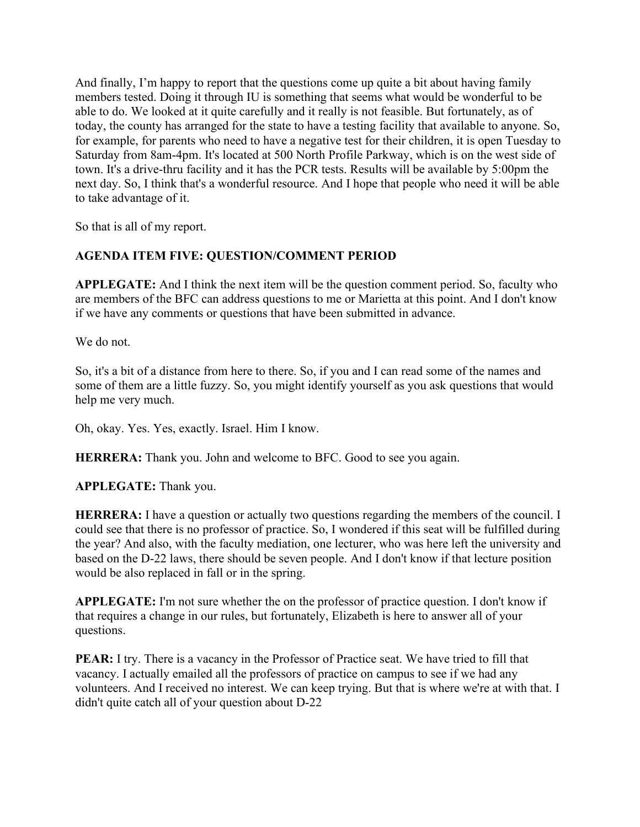And finally, I'm happy to report that the questions come up quite a bit about having family members tested. Doing it through IU is something that seems what would be wonderful to be able to do. We looked at it quite carefully and it really is not feasible. But fortunately, as of today, the county has arranged for the state to have a testing facility that available to anyone. So, for example, for parents who need to have a negative test for their children, it is open Tuesday to Saturday from 8am-4pm. It's located at 500 North Profile Parkway, which is on the west side of town. It's a drive-thru facility and it has the PCR tests. Results will be available by 5:00pm the next day. So, I think that's a wonderful resource. And I hope that people who need it will be able to take advantage of it.

So that is all of my report.

# **AGENDA ITEM FIVE: QUESTION/COMMENT PERIOD**

**APPLEGATE:** And I think the next item will be the question comment period. So, faculty who are members of the BFC can address questions to me or Marietta at this point. And I don't know if we have any comments or questions that have been submitted in advance.

We do not.

So, it's a bit of a distance from here to there. So, if you and I can read some of the names and some of them are a little fuzzy. So, you might identify yourself as you ask questions that would help me very much.

Oh, okay. Yes. Yes, exactly. Israel. Him I know.

**HERRERA:** Thank you. John and welcome to BFC. Good to see you again.

**APPLEGATE:** Thank you.

**HERRERA:** I have a question or actually two questions regarding the members of the council. I could see that there is no professor of practice. So, I wondered if this seat will be fulfilled during the year? And also, with the faculty mediation, one lecturer, who was here left the university and based on the D-22 laws, there should be seven people. And I don't know if that lecture position would be also replaced in fall or in the spring.

**APPLEGATE:** I'm not sure whether the on the professor of practice question. I don't know if that requires a change in our rules, but fortunately, Elizabeth is here to answer all of your questions.

**PEAR:** I try. There is a vacancy in the Professor of Practice seat. We have tried to fill that vacancy. I actually emailed all the professors of practice on campus to see if we had any volunteers. And I received no interest. We can keep trying. But that is where we're at with that. I didn't quite catch all of your question about D-22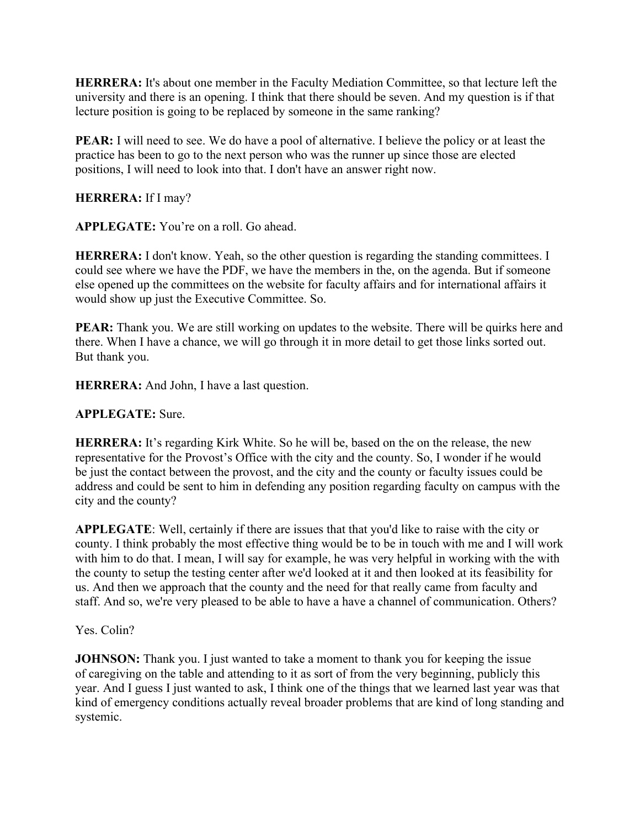**HERRERA:** It's about one member in the Faculty Mediation Committee, so that lecture left the university and there is an opening. I think that there should be seven. And my question is if that lecture position is going to be replaced by someone in the same ranking?

**PEAR:** I will need to see. We do have a pool of alternative. I believe the policy or at least the practice has been to go to the next person who was the runner up since those are elected positions, I will need to look into that. I don't have an answer right now.

# **HERRERA:** If I may?

**APPLEGATE:** You're on a roll. Go ahead.

**HERRERA:** I don't know. Yeah, so the other question is regarding the standing committees. I could see where we have the PDF, we have the members in the, on the agenda. But if someone else opened up the committees on the website for faculty affairs and for international affairs it would show up just the Executive Committee. So.

**PEAR:** Thank you. We are still working on updates to the website. There will be quirks here and there. When I have a chance, we will go through it in more detail to get those links sorted out. But thank you.

**HERRERA:** And John, I have a last question.

# **APPLEGATE:** Sure.

**HERRERA:** It's regarding Kirk White. So he will be, based on the on the release, the new representative for the Provost's Office with the city and the county. So, I wonder if he would be just the contact between the provost, and the city and the county or faculty issues could be address and could be sent to him in defending any position regarding faculty on campus with the city and the county?

**APPLEGATE**: Well, certainly if there are issues that that you'd like to raise with the city or county. I think probably the most effective thing would be to be in touch with me and I will work with him to do that. I mean, I will say for example, he was very helpful in working with the with the county to setup the testing center after we'd looked at it and then looked at its feasibility for us. And then we approach that the county and the need for that really came from faculty and staff. And so, we're very pleased to be able to have a have a channel of communication. Others?

# Yes. Colin?

**JOHNSON:** Thank you. I just wanted to take a moment to thank you for keeping the issue of caregiving on the table and attending to it as sort of from the very beginning, publicly this year. And I guess I just wanted to ask, I think one of the things that we learned last year was that kind of emergency conditions actually reveal broader problems that are kind of long standing and systemic.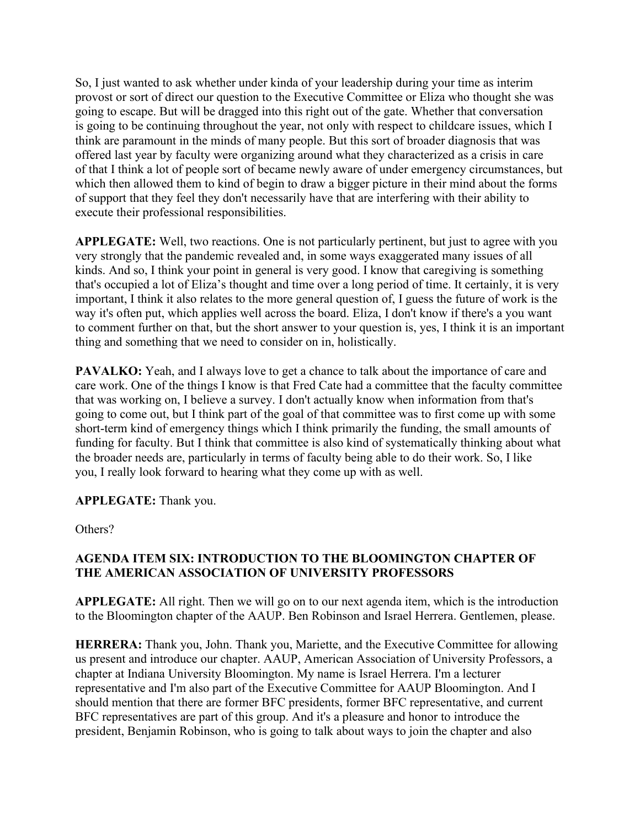So, I just wanted to ask whether under kinda of your leadership during your time as interim provost or sort of direct our question to the Executive Committee or Eliza who thought she was going to escape. But will be dragged into this right out of the gate. Whether that conversation is going to be continuing throughout the year, not only with respect to childcare issues, which I think are paramount in the minds of many people. But this sort of broader diagnosis that was offered last year by faculty were organizing around what they characterized as a crisis in care of that I think a lot of people sort of became newly aware of under emergency circumstances, but which then allowed them to kind of begin to draw a bigger picture in their mind about the forms of support that they feel they don't necessarily have that are interfering with their ability to execute their professional responsibilities.

**APPLEGATE:** Well, two reactions. One is not particularly pertinent, but just to agree with you very strongly that the pandemic revealed and, in some ways exaggerated many issues of all kinds. And so, I think your point in general is very good. I know that caregiving is something that's occupied a lot of Eliza's thought and time over a long period of time. It certainly, it is very important, I think it also relates to the more general question of, I guess the future of work is the way it's often put, which applies well across the board. Eliza, I don't know if there's a you want to comment further on that, but the short answer to your question is, yes, I think it is an important thing and something that we need to consider on in, holistically.

**PAVALKO:** Yeah, and I always love to get a chance to talk about the importance of care and care work. One of the things I know is that Fred Cate had a committee that the faculty committee that was working on, I believe a survey. I don't actually know when information from that's going to come out, but I think part of the goal of that committee was to first come up with some short-term kind of emergency things which I think primarily the funding, the small amounts of funding for faculty. But I think that committee is also kind of systematically thinking about what the broader needs are, particularly in terms of faculty being able to do their work. So, I like you, I really look forward to hearing what they come up with as well.

# **APPLEGATE:** Thank you.

Others?

# **AGENDA ITEM SIX: INTRODUCTION TO THE BLOOMINGTON CHAPTER OF THE AMERICAN ASSOCIATION OF UNIVERSITY PROFESSORS**

**APPLEGATE:** All right. Then we will go on to our next agenda item, which is the introduction to the Bloomington chapter of the AAUP. Ben Robinson and Israel Herrera. Gentlemen, please.

**HERRERA:** Thank you, John. Thank you, Mariette, and the Executive Committee for allowing us present and introduce our chapter. AAUP, American Association of University Professors, a chapter at Indiana University Bloomington. My name is Israel Herrera. I'm a lecturer representative and I'm also part of the Executive Committee for AAUP Bloomington. And I should mention that there are former BFC presidents, former BFC representative, and current BFC representatives are part of this group. And it's a pleasure and honor to introduce the president, Benjamin Robinson, who is going to talk about ways to join the chapter and also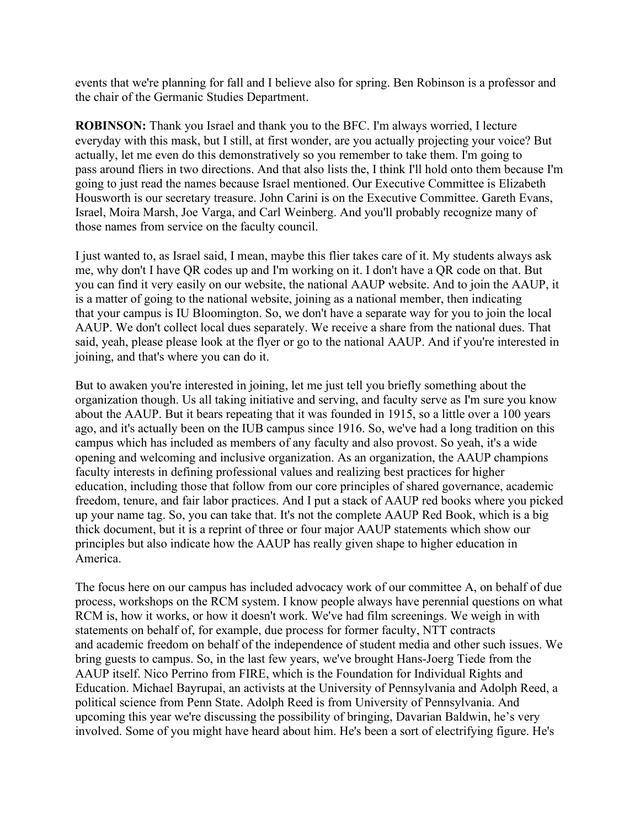events that we're planning for fall and I believe also for spring. Ben Robinson is a professor and the chair of the Germanic Studies Department.

**ROBINSON:** Thank you Israel and thank you to the BFC. I'm always worried, I lecture everyday with this mask, but I still, at first wonder, are you actually projecting your voice? But actually, let me even do this demonstratively so you remember to take them. I'm going to pass around fliers in two directions. And that also lists the, I think I'll hold onto them because I'm going to just read the names because Israel mentioned. Our Executive Committee is Elizabeth Housworth is our secretary treasure. John Carini is on the Executive Committee. Gareth Evans, Israel, Moira Marsh, Joe Varga, and Carl Weinberg. And you'll probably recognize many of those names from service on the faculty council.

I just wanted to, as Israel said, I mean, maybe this flier takes care of it. My students always ask me, why don't I have QR codes up and I'm working on it. I don't have a QR code on that. But you can find it very easily on our website, the national AAUP website. And to join the AAUP, it is a matter of going to the national website, joining as a national member, then indicating that your campus is IU Bloomington. So, we don't have a separate way for you to join the local AAUP. We don't collect local dues separately. We receive a share from the national dues. That said, yeah, please please look at the flyer or go to the national AAUP. And if you're interested in joining, and that's where you can do it.

But to awaken you're interested in joining, let me just tell you briefly something about the organization though. Us all taking initiative and serving, and faculty serve as I'm sure you know about the AAUP. But it bears repeating that it was founded in 1915, so a little over a 100 years ago, and it's actually been on the IUB campus since 1916. So, we've had a long tradition on this campus which has included as members of any faculty and also provost. So yeah, it's a wide opening and welcoming and inclusive organization. As an organization, the AAUP champions faculty interests in defining professional values and realizing best practices for higher education, including those that follow from our core principles of shared governance, academic freedom, tenure, and fair labor practices. And I put a stack of AAUP red books where you picked up your name tag. So, you can take that. It's not the complete AAUP Red Book, which is a big thick document, but it is a reprint of three or four major AAUP statements which show our principles but also indicate how the AAUP has really given shape to higher education in America.

The focus here on our campus has included advocacy work of our committee A, on behalf of due process, workshops on the RCM system. I know people always have perennial questions on what RCM is, how it works, or how it doesn't work. We've had film screenings. We weigh in with statements on behalf of, for example, due process for former faculty, NTT contracts and academic freedom on behalf of the independence of student media and other such issues. We bring guests to campus. So, in the last few years, we've brought Hans-Joerg Tiede from the AAUP itself. Nico Perrino from FIRE, which is the Foundation for Individual Rights and Education. Michael Bayrupai, an activists at the University of Pennsylvania and Adolph Reed, a political science from Penn State. Adolph Reed is from University of Pennsylvania. And upcoming this year we're discussing the possibility of bringing, Davarian Baldwin, he's very involved. Some of you might have heard about him. He's been a sort of electrifying figure. He's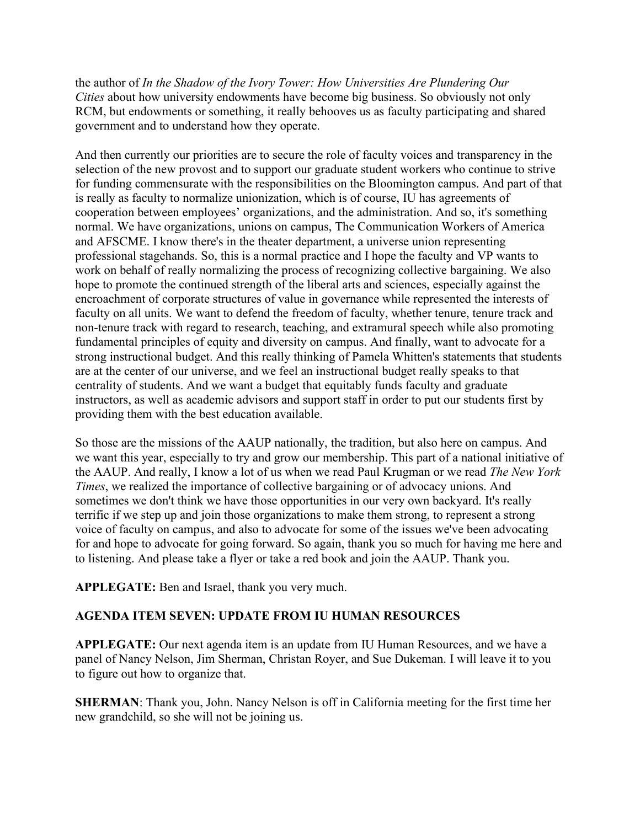the author of *In the Shadow of the Ivory Tower: How Universities Are Plundering Our Cities* about how university endowments have become big business. So obviously not only RCM, but endowments or something, it really behooves us as faculty participating and shared government and to understand how they operate.

And then currently our priorities are to secure the role of faculty voices and transparency in the selection of the new provost and to support our graduate student workers who continue to strive for funding commensurate with the responsibilities on the Bloomington campus. And part of that is really as faculty to normalize unionization, which is of course, IU has agreements of cooperation between employees' organizations, and the administration. And so, it's something normal. We have organizations, unions on campus, The Communication Workers of America and AFSCME. I know there's in the theater department, a universe union representing professional stagehands. So, this is a normal practice and I hope the faculty and VP wants to work on behalf of really normalizing the process of recognizing collective bargaining. We also hope to promote the continued strength of the liberal arts and sciences, especially against the encroachment of corporate structures of value in governance while represented the interests of faculty on all units. We want to defend the freedom of faculty, whether tenure, tenure track and non-tenure track with regard to research, teaching, and extramural speech while also promoting fundamental principles of equity and diversity on campus. And finally, want to advocate for a strong instructional budget. And this really thinking of Pamela Whitten's statements that students are at the center of our universe, and we feel an instructional budget really speaks to that centrality of students. And we want a budget that equitably funds faculty and graduate instructors, as well as academic advisors and support staff in order to put our students first by providing them with the best education available.

So those are the missions of the AAUP nationally, the tradition, but also here on campus. And we want this year, especially to try and grow our membership. This part of a national initiative of the AAUP. And really, I know a lot of us when we read Paul Krugman or we read *The New York Times*, we realized the importance of collective bargaining or of advocacy unions. And sometimes we don't think we have those opportunities in our very own backyard. It's really terrific if we step up and join those organizations to make them strong, to represent a strong voice of faculty on campus, and also to advocate for some of the issues we've been advocating for and hope to advocate for going forward. So again, thank you so much for having me here and to listening. And please take a flyer or take a red book and join the AAUP. Thank you.

**APPLEGATE:** Ben and Israel, thank you very much.

# **AGENDA ITEM SEVEN: UPDATE FROM IU HUMAN RESOURCES**

**APPLEGATE:** Our next agenda item is an update from IU Human Resources, and we have a panel of Nancy Nelson, Jim Sherman, Christan Royer, and Sue Dukeman. I will leave it to you to figure out how to organize that.

**SHERMAN**: Thank you, John. Nancy Nelson is off in California meeting for the first time her new grandchild, so she will not be joining us.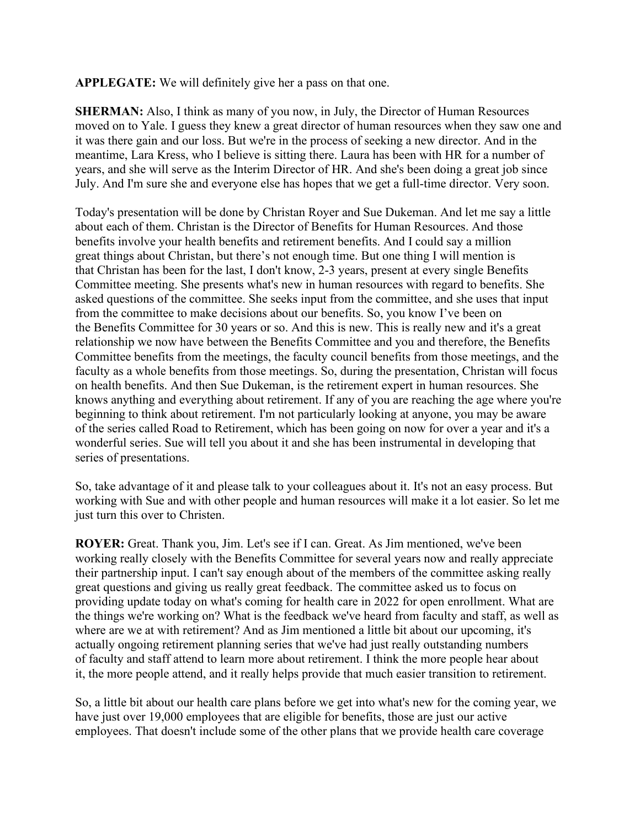**APPLEGATE:** We will definitely give her a pass on that one.

**SHERMAN:** Also, I think as many of you now, in July, the Director of Human Resources moved on to Yale. I guess they knew a great director of human resources when they saw one and it was there gain and our loss. But we're in the process of seeking a new director. And in the meantime, Lara Kress, who I believe is sitting there. Laura has been with HR for a number of years, and she will serve as the Interim Director of HR. And she's been doing a great job since July. And I'm sure she and everyone else has hopes that we get a full-time director. Very soon.

Today's presentation will be done by Christan Royer and Sue Dukeman. And let me say a little about each of them. Christan is the Director of Benefits for Human Resources. And those benefits involve your health benefits and retirement benefits. And I could say a million great things about Christan, but there's not enough time. But one thing I will mention is that Christan has been for the last, I don't know, 2-3 years, present at every single Benefits Committee meeting. She presents what's new in human resources with regard to benefits. She asked questions of the committee. She seeks input from the committee, and she uses that input from the committee to make decisions about our benefits. So, you know I've been on the Benefits Committee for 30 years or so. And this is new. This is really new and it's a great relationship we now have between the Benefits Committee and you and therefore, the Benefits Committee benefits from the meetings, the faculty council benefits from those meetings, and the faculty as a whole benefits from those meetings. So, during the presentation, Christan will focus on health benefits. And then Sue Dukeman, is the retirement expert in human resources. She knows anything and everything about retirement. If any of you are reaching the age where you're beginning to think about retirement. I'm not particularly looking at anyone, you may be aware of the series called Road to Retirement, which has been going on now for over a year and it's a wonderful series. Sue will tell you about it and she has been instrumental in developing that series of presentations.

So, take advantage of it and please talk to your colleagues about it. It's not an easy process. But working with Sue and with other people and human resources will make it a lot easier. So let me just turn this over to Christen.

**ROYER:** Great. Thank you, Jim. Let's see if I can. Great. As Jim mentioned, we've been working really closely with the Benefits Committee for several years now and really appreciate their partnership input. I can't say enough about of the members of the committee asking really great questions and giving us really great feedback. The committee asked us to focus on providing update today on what's coming for health care in 2022 for open enrollment. What are the things we're working on? What is the feedback we've heard from faculty and staff, as well as where are we at with retirement? And as Jim mentioned a little bit about our upcoming, it's actually ongoing retirement planning series that we've had just really outstanding numbers of faculty and staff attend to learn more about retirement. I think the more people hear about it, the more people attend, and it really helps provide that much easier transition to retirement.

So, a little bit about our health care plans before we get into what's new for the coming year, we have just over 19,000 employees that are eligible for benefits, those are just our active employees. That doesn't include some of the other plans that we provide health care coverage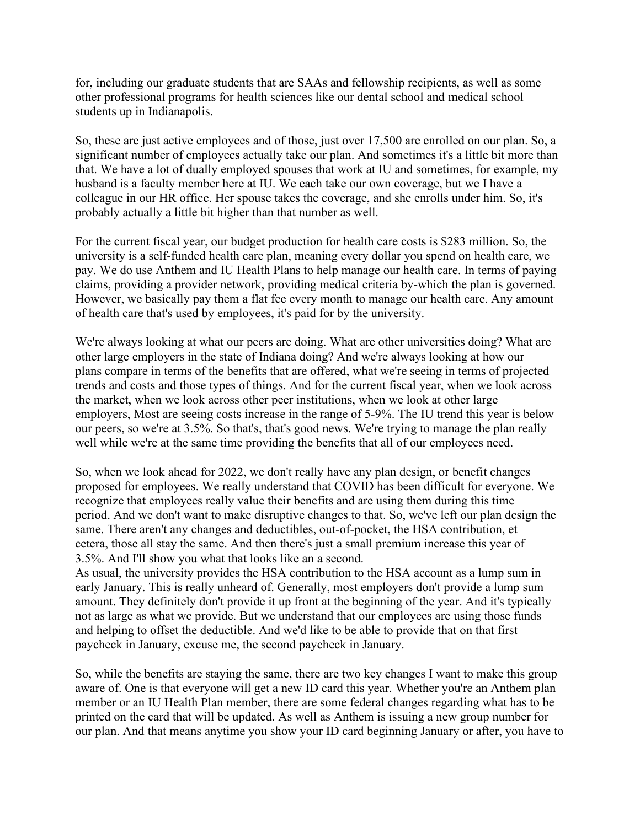for, including our graduate students that are SAAs and fellowship recipients, as well as some other professional programs for health sciences like our dental school and medical school students up in Indianapolis.

So, these are just active employees and of those, just over 17,500 are enrolled on our plan. So, a significant number of employees actually take our plan. And sometimes it's a little bit more than that. We have a lot of dually employed spouses that work at IU and sometimes, for example, my husband is a faculty member here at IU. We each take our own coverage, but we I have a colleague in our HR office. Her spouse takes the coverage, and she enrolls under him. So, it's probably actually a little bit higher than that number as well.

For the current fiscal year, our budget production for health care costs is \$283 million. So, the university is a self-funded health care plan, meaning every dollar you spend on health care, we pay. We do use Anthem and IU Health Plans to help manage our health care. In terms of paying claims, providing a provider network, providing medical criteria by-which the plan is governed. However, we basically pay them a flat fee every month to manage our health care. Any amount of health care that's used by employees, it's paid for by the university.

We're always looking at what our peers are doing. What are other universities doing? What are other large employers in the state of Indiana doing? And we're always looking at how our plans compare in terms of the benefits that are offered, what we're seeing in terms of projected trends and costs and those types of things. And for the current fiscal year, when we look across the market, when we look across other peer institutions, when we look at other large employers, Most are seeing costs increase in the range of 5-9%. The IU trend this year is below our peers, so we're at 3.5%. So that's, that's good news. We're trying to manage the plan really well while we're at the same time providing the benefits that all of our employees need.

So, when we look ahead for 2022, we don't really have any plan design, or benefit changes proposed for employees. We really understand that COVID has been difficult for everyone. We recognize that employees really value their benefits and are using them during this time period. And we don't want to make disruptive changes to that. So, we've left our plan design the same. There aren't any changes and deductibles, out-of-pocket, the HSA contribution, et cetera, those all stay the same. And then there's just a small premium increase this year of 3.5%. And I'll show you what that looks like an a second.

As usual, the university provides the HSA contribution to the HSA account as a lump sum in early January. This is really unheard of. Generally, most employers don't provide a lump sum amount. They definitely don't provide it up front at the beginning of the year. And it's typically not as large as what we provide. But we understand that our employees are using those funds and helping to offset the deductible. And we'd like to be able to provide that on that first paycheck in January, excuse me, the second paycheck in January.

So, while the benefits are staying the same, there are two key changes I want to make this group aware of. One is that everyone will get a new ID card this year. Whether you're an Anthem plan member or an IU Health Plan member, there are some federal changes regarding what has to be printed on the card that will be updated. As well as Anthem is issuing a new group number for our plan. And that means anytime you show your ID card beginning January or after, you have to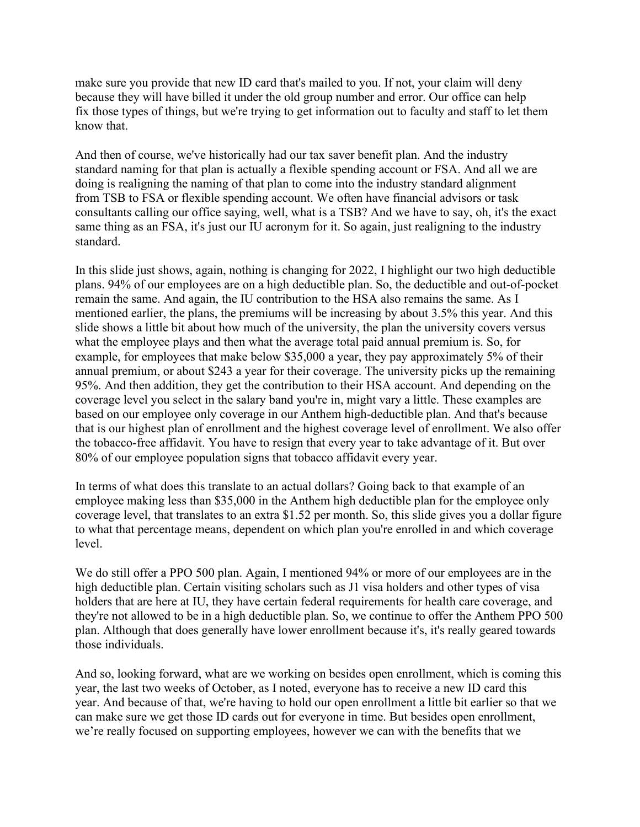make sure you provide that new ID card that's mailed to you. If not, your claim will deny because they will have billed it under the old group number and error. Our office can help fix those types of things, but we're trying to get information out to faculty and staff to let them know that.

And then of course, we've historically had our tax saver benefit plan. And the industry standard naming for that plan is actually a flexible spending account or FSA. And all we are doing is realigning the naming of that plan to come into the industry standard alignment from TSB to FSA or flexible spending account. We often have financial advisors or task consultants calling our office saying, well, what is a TSB? And we have to say, oh, it's the exact same thing as an FSA, it's just our IU acronym for it. So again, just realigning to the industry standard.

In this slide just shows, again, nothing is changing for 2022, I highlight our two high deductible plans. 94% of our employees are on a high deductible plan. So, the deductible and out-of-pocket remain the same. And again, the IU contribution to the HSA also remains the same. As I mentioned earlier, the plans, the premiums will be increasing by about 3.5% this year. And this slide shows a little bit about how much of the university, the plan the university covers versus what the employee plays and then what the average total paid annual premium is. So, for example, for employees that make below \$35,000 a year, they pay approximately 5% of their annual premium, or about \$243 a year for their coverage. The university picks up the remaining 95%. And then addition, they get the contribution to their HSA account. And depending on the coverage level you select in the salary band you're in, might vary a little. These examples are based on our employee only coverage in our Anthem high-deductible plan. And that's because that is our highest plan of enrollment and the highest coverage level of enrollment. We also offer the tobacco-free affidavit. You have to resign that every year to take advantage of it. But over 80% of our employee population signs that tobacco affidavit every year.

In terms of what does this translate to an actual dollars? Going back to that example of an employee making less than \$35,000 in the Anthem high deductible plan for the employee only coverage level, that translates to an extra \$1.52 per month. So, this slide gives you a dollar figure to what that percentage means, dependent on which plan you're enrolled in and which coverage level.

We do still offer a PPO 500 plan. Again, I mentioned 94% or more of our employees are in the high deductible plan. Certain visiting scholars such as J1 visa holders and other types of visa holders that are here at IU, they have certain federal requirements for health care coverage, and they're not allowed to be in a high deductible plan. So, we continue to offer the Anthem PPO 500 plan. Although that does generally have lower enrollment because it's, it's really geared towards those individuals.

And so, looking forward, what are we working on besides open enrollment, which is coming this year, the last two weeks of October, as I noted, everyone has to receive a new ID card this year. And because of that, we're having to hold our open enrollment a little bit earlier so that we can make sure we get those ID cards out for everyone in time. But besides open enrollment, we're really focused on supporting employees, however we can with the benefits that we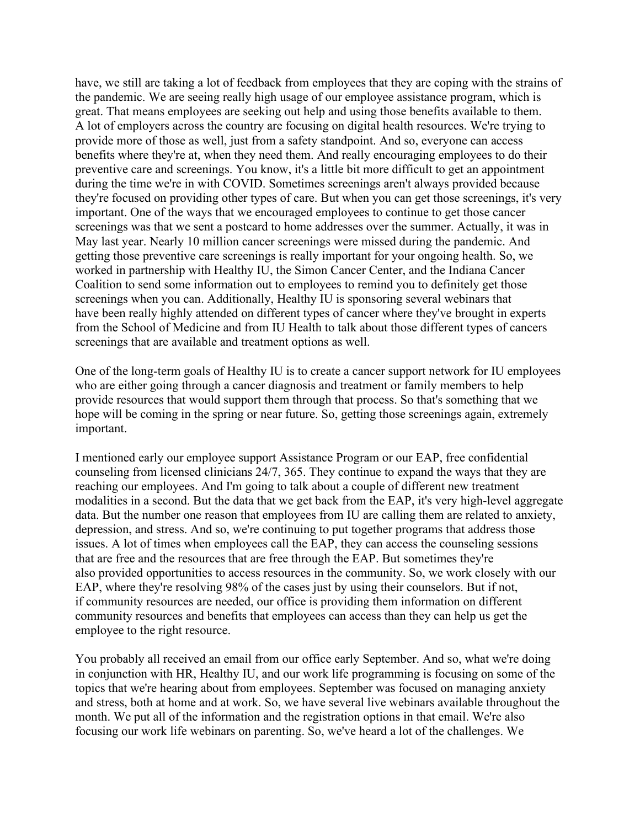have, we still are taking a lot of feedback from employees that they are coping with the strains of the pandemic. We are seeing really high usage of our employee assistance program, which is great. That means employees are seeking out help and using those benefits available to them. A lot of employers across the country are focusing on digital health resources. We're trying to provide more of those as well, just from a safety standpoint. And so, everyone can access benefits where they're at, when they need them. And really encouraging employees to do their preventive care and screenings. You know, it's a little bit more difficult to get an appointment during the time we're in with COVID. Sometimes screenings aren't always provided because they're focused on providing other types of care. But when you can get those screenings, it's very important. One of the ways that we encouraged employees to continue to get those cancer screenings was that we sent a postcard to home addresses over the summer. Actually, it was in May last year. Nearly 10 million cancer screenings were missed during the pandemic. And getting those preventive care screenings is really important for your ongoing health. So, we worked in partnership with Healthy IU, the Simon Cancer Center, and the Indiana Cancer Coalition to send some information out to employees to remind you to definitely get those screenings when you can. Additionally, Healthy IU is sponsoring several webinars that have been really highly attended on different types of cancer where they've brought in experts from the School of Medicine and from IU Health to talk about those different types of cancers screenings that are available and treatment options as well.

One of the long-term goals of Healthy IU is to create a cancer support network for IU employees who are either going through a cancer diagnosis and treatment or family members to help provide resources that would support them through that process. So that's something that we hope will be coming in the spring or near future. So, getting those screenings again, extremely important.

I mentioned early our employee support Assistance Program or our EAP, free confidential counseling from licensed clinicians 24/7, 365. They continue to expand the ways that they are reaching our employees. And I'm going to talk about a couple of different new treatment modalities in a second. But the data that we get back from the EAP, it's very high-level aggregate data. But the number one reason that employees from IU are calling them are related to anxiety, depression, and stress. And so, we're continuing to put together programs that address those issues. A lot of times when employees call the EAP, they can access the counseling sessions that are free and the resources that are free through the EAP. But sometimes they're also provided opportunities to access resources in the community. So, we work closely with our EAP, where they're resolving 98% of the cases just by using their counselors. But if not, if community resources are needed, our office is providing them information on different community resources and benefits that employees can access than they can help us get the employee to the right resource.

You probably all received an email from our office early September. And so, what we're doing in conjunction with HR, Healthy IU, and our work life programming is focusing on some of the topics that we're hearing about from employees. September was focused on managing anxiety and stress, both at home and at work. So, we have several live webinars available throughout the month. We put all of the information and the registration options in that email. We're also focusing our work life webinars on parenting. So, we've heard a lot of the challenges. We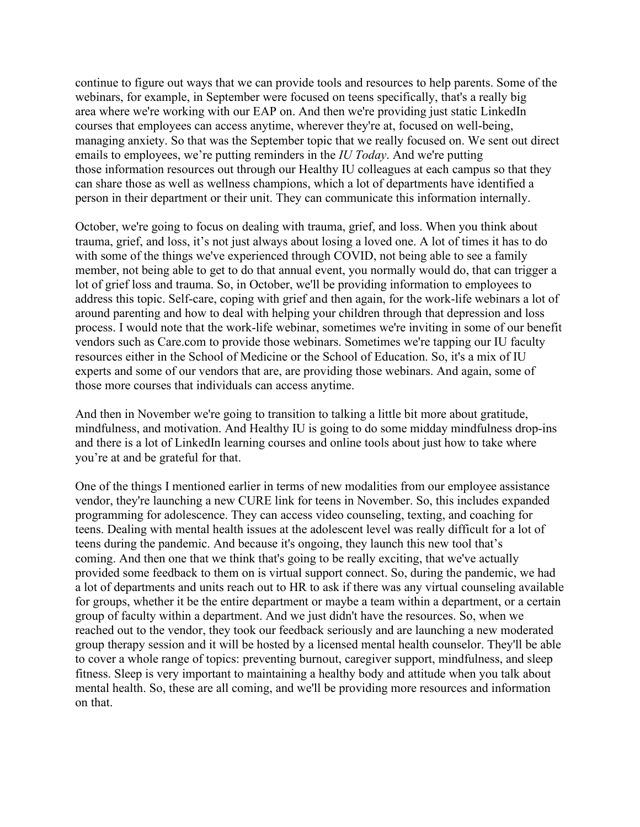continue to figure out ways that we can provide tools and resources to help parents. Some of the webinars, for example, in September were focused on teens specifically, that's a really big area where we're working with our EAP on. And then we're providing just static LinkedIn courses that employees can access anytime, wherever they're at, focused on well-being, managing anxiety. So that was the September topic that we really focused on. We sent out direct emails to employees, we're putting reminders in the *IU Today*. And we're putting those information resources out through our Healthy IU colleagues at each campus so that they can share those as well as wellness champions, which a lot of departments have identified a person in their department or their unit. They can communicate this information internally.

October, we're going to focus on dealing with trauma, grief, and loss. When you think about trauma, grief, and loss, it's not just always about losing a loved one. A lot of times it has to do with some of the things we've experienced through COVID, not being able to see a family member, not being able to get to do that annual event, you normally would do, that can trigger a lot of grief loss and trauma. So, in October, we'll be providing information to employees to address this topic. Self-care, coping with grief and then again, for the work-life webinars a lot of around parenting and how to deal with helping your children through that depression and loss process. I would note that the work-life webinar, sometimes we're inviting in some of our benefit vendors such as Care.com to provide those webinars. Sometimes we're tapping our IU faculty resources either in the School of Medicine or the School of Education. So, it's a mix of IU experts and some of our vendors that are, are providing those webinars. And again, some of those more courses that individuals can access anytime.

And then in November we're going to transition to talking a little bit more about gratitude, mindfulness, and motivation. And Healthy IU is going to do some midday mindfulness drop-ins and there is a lot of LinkedIn learning courses and online tools about just how to take where you're at and be grateful for that.

One of the things I mentioned earlier in terms of new modalities from our employee assistance vendor, they're launching a new CURE link for teens in November. So, this includes expanded programming for adolescence. They can access video counseling, texting, and coaching for teens. Dealing with mental health issues at the adolescent level was really difficult for a lot of teens during the pandemic. And because it's ongoing, they launch this new tool that's coming. And then one that we think that's going to be really exciting, that we've actually provided some feedback to them on is virtual support connect. So, during the pandemic, we had a lot of departments and units reach out to HR to ask if there was any virtual counseling available for groups, whether it be the entire department or maybe a team within a department, or a certain group of faculty within a department. And we just didn't have the resources. So, when we reached out to the vendor, they took our feedback seriously and are launching a new moderated group therapy session and it will be hosted by a licensed mental health counselor. They'll be able to cover a whole range of topics: preventing burnout, caregiver support, mindfulness, and sleep fitness. Sleep is very important to maintaining a healthy body and attitude when you talk about mental health. So, these are all coming, and we'll be providing more resources and information on that.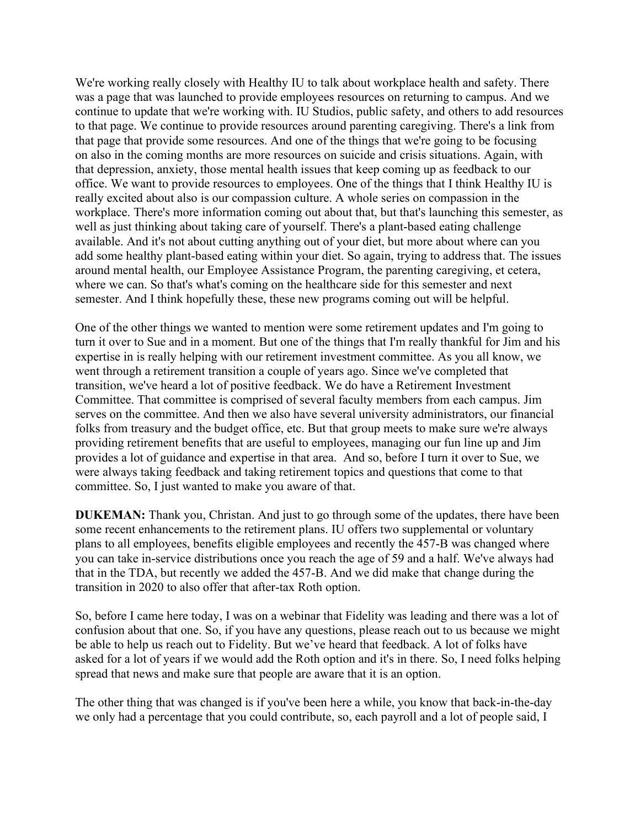We're working really closely with Healthy IU to talk about workplace health and safety. There was a page that was launched to provide employees resources on returning to campus. And we continue to update that we're working with. IU Studios, public safety, and others to add resources to that page. We continue to provide resources around parenting caregiving. There's a link from that page that provide some resources. And one of the things that we're going to be focusing on also in the coming months are more resources on suicide and crisis situations. Again, with that depression, anxiety, those mental health issues that keep coming up as feedback to our office. We want to provide resources to employees. One of the things that I think Healthy IU is really excited about also is our compassion culture. A whole series on compassion in the workplace. There's more information coming out about that, but that's launching this semester, as well as just thinking about taking care of yourself. There's a plant-based eating challenge available. And it's not about cutting anything out of your diet, but more about where can you add some healthy plant-based eating within your diet. So again, trying to address that. The issues around mental health, our Employee Assistance Program, the parenting caregiving, et cetera, where we can. So that's what's coming on the healthcare side for this semester and next semester. And I think hopefully these, these new programs coming out will be helpful.

One of the other things we wanted to mention were some retirement updates and I'm going to turn it over to Sue and in a moment. But one of the things that I'm really thankful for Jim and his expertise in is really helping with our retirement investment committee. As you all know, we went through a retirement transition a couple of years ago. Since we've completed that transition, we've heard a lot of positive feedback. We do have a Retirement Investment Committee. That committee is comprised of several faculty members from each campus. Jim serves on the committee. And then we also have several university administrators, our financial folks from treasury and the budget office, etc. But that group meets to make sure we're always providing retirement benefits that are useful to employees, managing our fun line up and Jim provides a lot of guidance and expertise in that area. And so, before I turn it over to Sue, we were always taking feedback and taking retirement topics and questions that come to that committee. So, I just wanted to make you aware of that.

**DUKEMAN:** Thank you, Christan. And just to go through some of the updates, there have been some recent enhancements to the retirement plans. IU offers two supplemental or voluntary plans to all employees, benefits eligible employees and recently the 457-B was changed where you can take in-service distributions once you reach the age of 59 and a half. We've always had that in the TDA, but recently we added the 457-B. And we did make that change during the transition in 2020 to also offer that after-tax Roth option.

So, before I came here today, I was on a webinar that Fidelity was leading and there was a lot of confusion about that one. So, if you have any questions, please reach out to us because we might be able to help us reach out to Fidelity. But we've heard that feedback. A lot of folks have asked for a lot of years if we would add the Roth option and it's in there. So, I need folks helping spread that news and make sure that people are aware that it is an option.

The other thing that was changed is if you've been here a while, you know that back-in-the-day we only had a percentage that you could contribute, so, each payroll and a lot of people said, I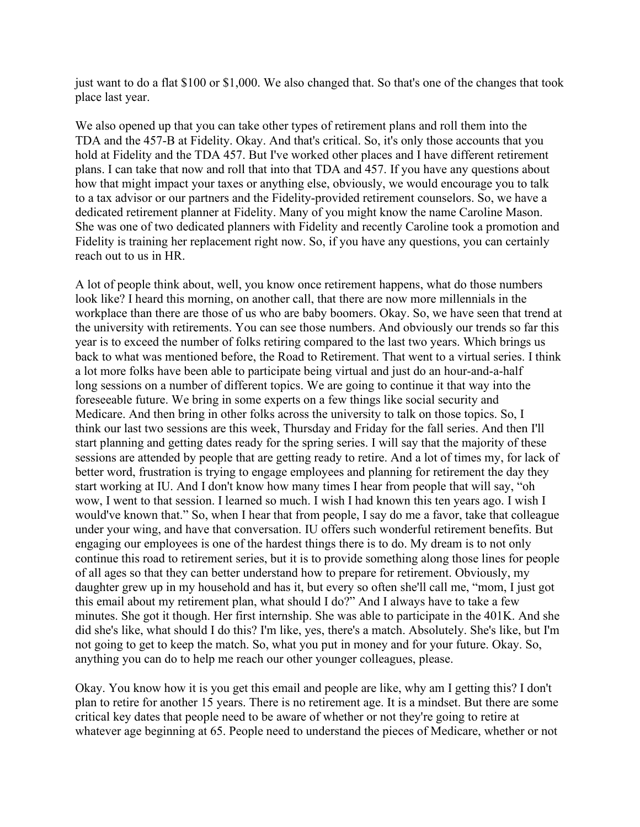just want to do a flat \$100 or \$1,000. We also changed that. So that's one of the changes that took place last year.

We also opened up that you can take other types of retirement plans and roll them into the TDA and the 457-B at Fidelity. Okay. And that's critical. So, it's only those accounts that you hold at Fidelity and the TDA 457. But I've worked other places and I have different retirement plans. I can take that now and roll that into that TDA and 457. If you have any questions about how that might impact your taxes or anything else, obviously, we would encourage you to talk to a tax advisor or our partners and the Fidelity-provided retirement counselors. So, we have a dedicated retirement planner at Fidelity. Many of you might know the name Caroline Mason. She was one of two dedicated planners with Fidelity and recently Caroline took a promotion and Fidelity is training her replacement right now. So, if you have any questions, you can certainly reach out to us in HR.

A lot of people think about, well, you know once retirement happens, what do those numbers look like? I heard this morning, on another call, that there are now more millennials in the workplace than there are those of us who are baby boomers. Okay. So, we have seen that trend at the university with retirements. You can see those numbers. And obviously our trends so far this year is to exceed the number of folks retiring compared to the last two years. Which brings us back to what was mentioned before, the Road to Retirement. That went to a virtual series. I think a lot more folks have been able to participate being virtual and just do an hour-and-a-half long sessions on a number of different topics. We are going to continue it that way into the foreseeable future. We bring in some experts on a few things like social security and Medicare. And then bring in other folks across the university to talk on those topics. So, I think our last two sessions are this week, Thursday and Friday for the fall series. And then I'll start planning and getting dates ready for the spring series. I will say that the majority of these sessions are attended by people that are getting ready to retire. And a lot of times my, for lack of better word, frustration is trying to engage employees and planning for retirement the day they start working at IU. And I don't know how many times I hear from people that will say, "oh wow, I went to that session. I learned so much. I wish I had known this ten years ago. I wish I would've known that." So, when I hear that from people, I say do me a favor, take that colleague under your wing, and have that conversation. IU offers such wonderful retirement benefits. But engaging our employees is one of the hardest things there is to do. My dream is to not only continue this road to retirement series, but it is to provide something along those lines for people of all ages so that they can better understand how to prepare for retirement. Obviously, my daughter grew up in my household and has it, but every so often she'll call me, "mom, I just got this email about my retirement plan, what should I do?" And I always have to take a few minutes. She got it though. Her first internship. She was able to participate in the 401K. And she did she's like, what should I do this? I'm like, yes, there's a match. Absolutely. She's like, but I'm not going to get to keep the match. So, what you put in money and for your future. Okay. So, anything you can do to help me reach our other younger colleagues, please.

Okay. You know how it is you get this email and people are like, why am I getting this? I don't plan to retire for another 15 years. There is no retirement age. It is a mindset. But there are some critical key dates that people need to be aware of whether or not they're going to retire at whatever age beginning at 65. People need to understand the pieces of Medicare, whether or not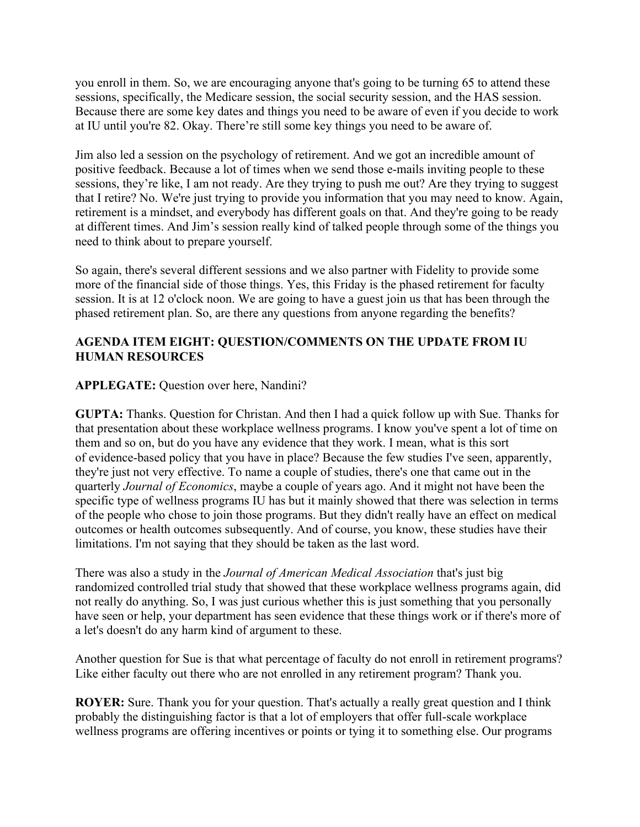you enroll in them. So, we are encouraging anyone that's going to be turning 65 to attend these sessions, specifically, the Medicare session, the social security session, and the HAS session. Because there are some key dates and things you need to be aware of even if you decide to work at IU until you're 82. Okay. There're still some key things you need to be aware of.

Jim also led a session on the psychology of retirement. And we got an incredible amount of positive feedback. Because a lot of times when we send those e-mails inviting people to these sessions, they're like, I am not ready. Are they trying to push me out? Are they trying to suggest that I retire? No. We're just trying to provide you information that you may need to know. Again, retirement is a mindset, and everybody has different goals on that. And they're going to be ready at different times. And Jim's session really kind of talked people through some of the things you need to think about to prepare yourself.

So again, there's several different sessions and we also partner with Fidelity to provide some more of the financial side of those things. Yes, this Friday is the phased retirement for faculty session. It is at 12 o'clock noon. We are going to have a guest join us that has been through the phased retirement plan. So, are there any questions from anyone regarding the benefits?

# **AGENDA ITEM EIGHT: QUESTION/COMMENTS ON THE UPDATE FROM IU HUMAN RESOURCES**

# **APPLEGATE:** Ouestion over here, Nandini?

**GUPTA:** Thanks. Question for Christan. And then I had a quick follow up with Sue. Thanks for that presentation about these workplace wellness programs. I know you've spent a lot of time on them and so on, but do you have any evidence that they work. I mean, what is this sort of evidence-based policy that you have in place? Because the few studies I've seen, apparently, they're just not very effective. To name a couple of studies, there's one that came out in the quarterly *Journal of Economics*, maybe a couple of years ago. And it might not have been the specific type of wellness programs IU has but it mainly showed that there was selection in terms of the people who chose to join those programs. But they didn't really have an effect on medical outcomes or health outcomes subsequently. And of course, you know, these studies have their limitations. I'm not saying that they should be taken as the last word.

There was also a study in the *Journal of American Medical Association* that's just big randomized controlled trial study that showed that these workplace wellness programs again, did not really do anything. So, I was just curious whether this is just something that you personally have seen or help, your department has seen evidence that these things work or if there's more of a let's doesn't do any harm kind of argument to these.

Another question for Sue is that what percentage of faculty do not enroll in retirement programs? Like either faculty out there who are not enrolled in any retirement program? Thank you.

**ROYER:** Sure. Thank you for your question. That's actually a really great question and I think probably the distinguishing factor is that a lot of employers that offer full-scale workplace wellness programs are offering incentives or points or tying it to something else. Our programs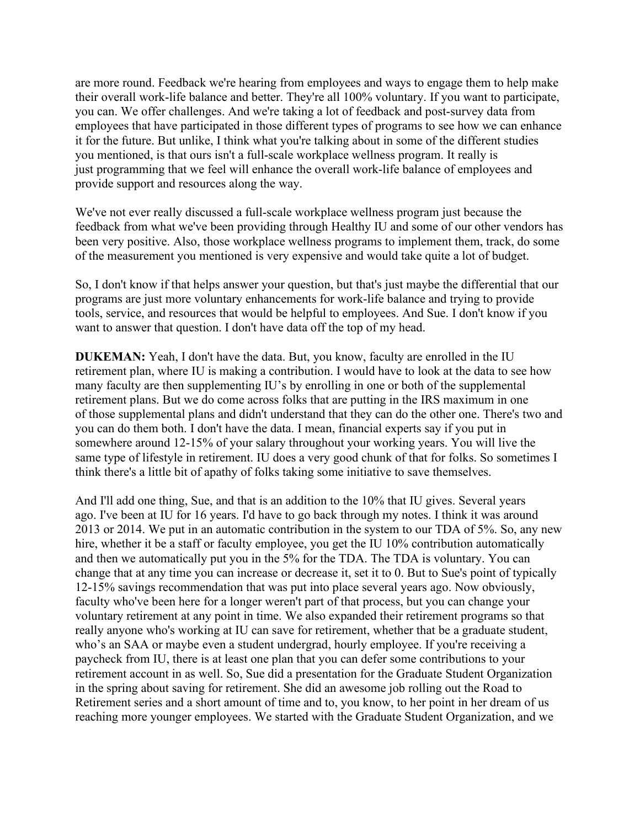are more round. Feedback we're hearing from employees and ways to engage them to help make their overall work-life balance and better. They're all 100% voluntary. If you want to participate, you can. We offer challenges. And we're taking a lot of feedback and post-survey data from employees that have participated in those different types of programs to see how we can enhance it for the future. But unlike, I think what you're talking about in some of the different studies you mentioned, is that ours isn't a full-scale workplace wellness program. It really is just programming that we feel will enhance the overall work-life balance of employees and provide support and resources along the way.

We've not ever really discussed a full-scale workplace wellness program just because the feedback from what we've been providing through Healthy IU and some of our other vendors has been very positive. Also, those workplace wellness programs to implement them, track, do some of the measurement you mentioned is very expensive and would take quite a lot of budget.

So, I don't know if that helps answer your question, but that's just maybe the differential that our programs are just more voluntary enhancements for work-life balance and trying to provide tools, service, and resources that would be helpful to employees. And Sue. I don't know if you want to answer that question. I don't have data off the top of my head.

**DUKEMAN:** Yeah, I don't have the data. But, you know, faculty are enrolled in the IU retirement plan, where IU is making a contribution. I would have to look at the data to see how many faculty are then supplementing IU's by enrolling in one or both of the supplemental retirement plans. But we do come across folks that are putting in the IRS maximum in one of those supplemental plans and didn't understand that they can do the other one. There's two and you can do them both. I don't have the data. I mean, financial experts say if you put in somewhere around 12-15% of your salary throughout your working years. You will live the same type of lifestyle in retirement. IU does a very good chunk of that for folks. So sometimes I think there's a little bit of apathy of folks taking some initiative to save themselves.

And I'll add one thing, Sue, and that is an addition to the 10% that IU gives. Several years ago. I've been at IU for 16 years. I'd have to go back through my notes. I think it was around 2013 or 2014. We put in an automatic contribution in the system to our TDA of 5%. So, any new hire, whether it be a staff or faculty employee, you get the IU 10% contribution automatically and then we automatically put you in the 5% for the TDA. The TDA is voluntary. You can change that at any time you can increase or decrease it, set it to 0. But to Sue's point of typically 12-15% savings recommendation that was put into place several years ago. Now obviously, faculty who've been here for a longer weren't part of that process, but you can change your voluntary retirement at any point in time. We also expanded their retirement programs so that really anyone who's working at IU can save for retirement, whether that be a graduate student, who's an SAA or maybe even a student undergrad, hourly employee. If you're receiving a paycheck from IU, there is at least one plan that you can defer some contributions to your retirement account in as well. So, Sue did a presentation for the Graduate Student Organization in the spring about saving for retirement. She did an awesome job rolling out the Road to Retirement series and a short amount of time and to, you know, to her point in her dream of us reaching more younger employees. We started with the Graduate Student Organization, and we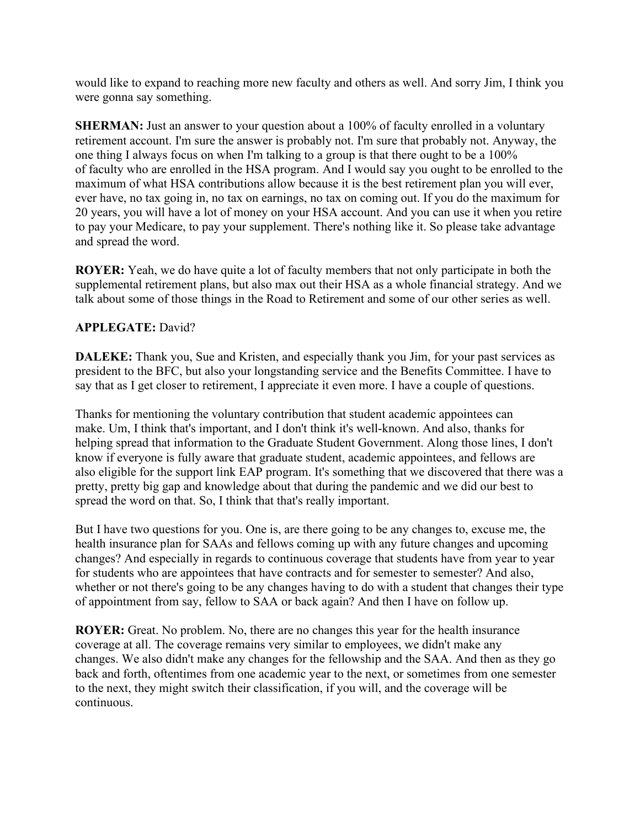would like to expand to reaching more new faculty and others as well. And sorry Jim, I think you were gonna say something.

**SHERMAN:** Just an answer to your question about a 100% of faculty enrolled in a voluntary retirement account. I'm sure the answer is probably not. I'm sure that probably not. Anyway, the one thing I always focus on when I'm talking to a group is that there ought to be a 100% of faculty who are enrolled in the HSA program. And I would say you ought to be enrolled to the maximum of what HSA contributions allow because it is the best retirement plan you will ever, ever have, no tax going in, no tax on earnings, no tax on coming out. If you do the maximum for 20 years, you will have a lot of money on your HSA account. And you can use it when you retire to pay your Medicare, to pay your supplement. There's nothing like it. So please take advantage and spread the word.

**ROYER:** Yeah, we do have quite a lot of faculty members that not only participate in both the supplemental retirement plans, but also max out their HSA as a whole financial strategy. And we talk about some of those things in the Road to Retirement and some of our other series as well.

# **APPLEGATE:** David?

**DALEKE:** Thank you, Sue and Kristen, and especially thank you Jim, for your past services as president to the BFC, but also your longstanding service and the Benefits Committee. I have to say that as I get closer to retirement, I appreciate it even more. I have a couple of questions.

Thanks for mentioning the voluntary contribution that student academic appointees can make. Um, I think that's important, and I don't think it's well-known. And also, thanks for helping spread that information to the Graduate Student Government. Along those lines, I don't know if everyone is fully aware that graduate student, academic appointees, and fellows are also eligible for the support link EAP program. It's something that we discovered that there was a pretty, pretty big gap and knowledge about that during the pandemic and we did our best to spread the word on that. So, I think that that's really important.

But I have two questions for you. One is, are there going to be any changes to, excuse me, the health insurance plan for SAAs and fellows coming up with any future changes and upcoming changes? And especially in regards to continuous coverage that students have from year to year for students who are appointees that have contracts and for semester to semester? And also, whether or not there's going to be any changes having to do with a student that changes their type of appointment from say, fellow to SAA or back again? And then I have on follow up.

**ROYER:** Great. No problem. No, there are no changes this year for the health insurance coverage at all. The coverage remains very similar to employees, we didn't make any changes. We also didn't make any changes for the fellowship and the SAA. And then as they go back and forth, oftentimes from one academic year to the next, or sometimes from one semester to the next, they might switch their classification, if you will, and the coverage will be continuous.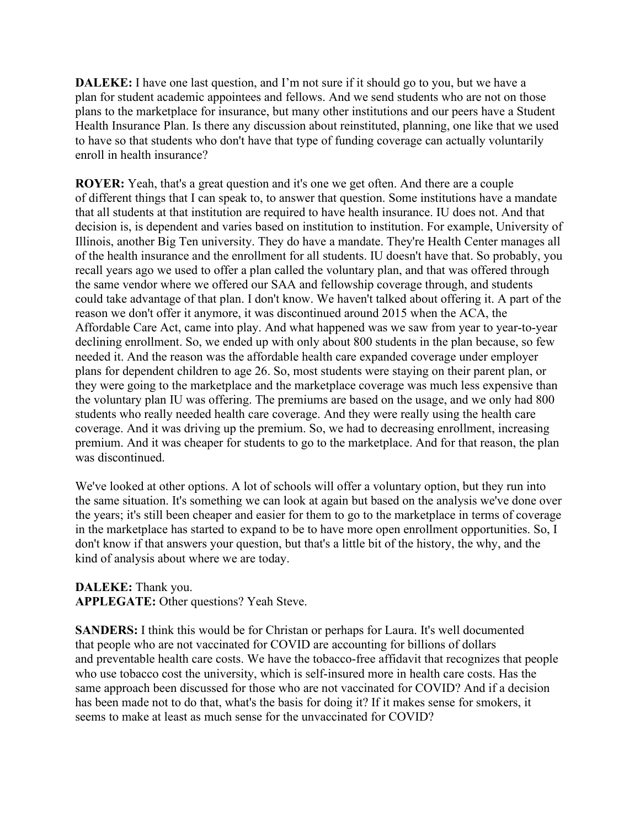**DALEKE:** I have one last question, and I'm not sure if it should go to you, but we have a plan for student academic appointees and fellows. And we send students who are not on those plans to the marketplace for insurance, but many other institutions and our peers have a Student Health Insurance Plan. Is there any discussion about reinstituted, planning, one like that we used to have so that students who don't have that type of funding coverage can actually voluntarily enroll in health insurance?

**ROYER:** Yeah, that's a great question and it's one we get often. And there are a couple of different things that I can speak to, to answer that question. Some institutions have a mandate that all students at that institution are required to have health insurance. IU does not. And that decision is, is dependent and varies based on institution to institution. For example, University of Illinois, another Big Ten university. They do have a mandate. They're Health Center manages all of the health insurance and the enrollment for all students. IU doesn't have that. So probably, you recall years ago we used to offer a plan called the voluntary plan, and that was offered through the same vendor where we offered our SAA and fellowship coverage through, and students could take advantage of that plan. I don't know. We haven't talked about offering it. A part of the reason we don't offer it anymore, it was discontinued around 2015 when the ACA, the Affordable Care Act, came into play. And what happened was we saw from year to year-to-year declining enrollment. So, we ended up with only about 800 students in the plan because, so few needed it. And the reason was the affordable health care expanded coverage under employer plans for dependent children to age 26. So, most students were staying on their parent plan, or they were going to the marketplace and the marketplace coverage was much less expensive than the voluntary plan IU was offering. The premiums are based on the usage, and we only had 800 students who really needed health care coverage. And they were really using the health care coverage. And it was driving up the premium. So, we had to decreasing enrollment, increasing premium. And it was cheaper for students to go to the marketplace. And for that reason, the plan was discontinued.

We've looked at other options. A lot of schools will offer a voluntary option, but they run into the same situation. It's something we can look at again but based on the analysis we've done over the years; it's still been cheaper and easier for them to go to the marketplace in terms of coverage in the marketplace has started to expand to be to have more open enrollment opportunities. So, I don't know if that answers your question, but that's a little bit of the history, the why, and the kind of analysis about where we are today.

**DALEKE:** Thank you. **APPLEGATE:** Other questions? Yeah Steve.

**SANDERS:** I think this would be for Christan or perhaps for Laura. It's well documented that people who are not vaccinated for COVID are accounting for billions of dollars and preventable health care costs. We have the tobacco-free affidavit that recognizes that people who use tobacco cost the university, which is self-insured more in health care costs. Has the same approach been discussed for those who are not vaccinated for COVID? And if a decision has been made not to do that, what's the basis for doing it? If it makes sense for smokers, it seems to make at least as much sense for the unvaccinated for COVID?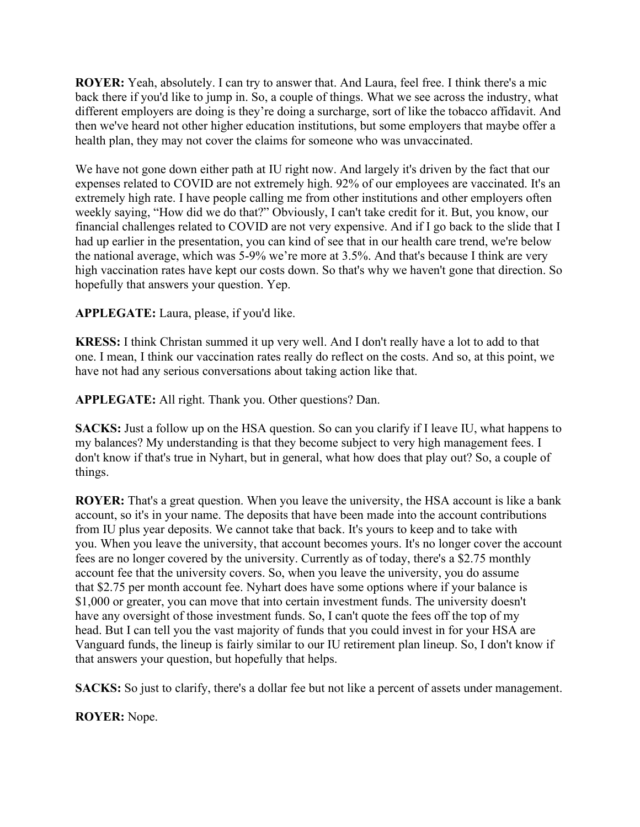**ROYER:** Yeah, absolutely. I can try to answer that. And Laura, feel free. I think there's a mic back there if you'd like to jump in. So, a couple of things. What we see across the industry, what different employers are doing is they're doing a surcharge, sort of like the tobacco affidavit. And then we've heard not other higher education institutions, but some employers that maybe offer a health plan, they may not cover the claims for someone who was unvaccinated.

We have not gone down either path at IU right now. And largely it's driven by the fact that our expenses related to COVID are not extremely high. 92% of our employees are vaccinated. It's an extremely high rate. I have people calling me from other institutions and other employers often weekly saying, "How did we do that?" Obviously, I can't take credit for it. But, you know, our financial challenges related to COVID are not very expensive. And if I go back to the slide that I had up earlier in the presentation, you can kind of see that in our health care trend, we're below the national average, which was 5-9% we're more at 3.5%. And that's because I think are very high vaccination rates have kept our costs down. So that's why we haven't gone that direction. So hopefully that answers your question. Yep.

**APPLEGATE:** Laura, please, if you'd like.

**KRESS:** I think Christan summed it up very well. And I don't really have a lot to add to that one. I mean, I think our vaccination rates really do reflect on the costs. And so, at this point, we have not had any serious conversations about taking action like that.

**APPLEGATE:** All right. Thank you. Other questions? Dan.

**SACKS:** Just a follow up on the HSA question. So can you clarify if I leave IU, what happens to my balances? My understanding is that they become subject to very high management fees. I don't know if that's true in Nyhart, but in general, what how does that play out? So, a couple of things.

**ROYER:** That's a great question. When you leave the university, the HSA account is like a bank account, so it's in your name. The deposits that have been made into the account contributions from IU plus year deposits. We cannot take that back. It's yours to keep and to take with you. When you leave the university, that account becomes yours. It's no longer cover the account fees are no longer covered by the university. Currently as of today, there's a \$2.75 monthly account fee that the university covers. So, when you leave the university, you do assume that \$2.75 per month account fee. Nyhart does have some options where if your balance is \$1,000 or greater, you can move that into certain investment funds. The university doesn't have any oversight of those investment funds. So, I can't quote the fees off the top of my head. But I can tell you the vast majority of funds that you could invest in for your HSA are Vanguard funds, the lineup is fairly similar to our IU retirement plan lineup. So, I don't know if that answers your question, but hopefully that helps.

**SACKS:** So just to clarify, there's a dollar fee but not like a percent of assets under management.

**ROYER:** Nope.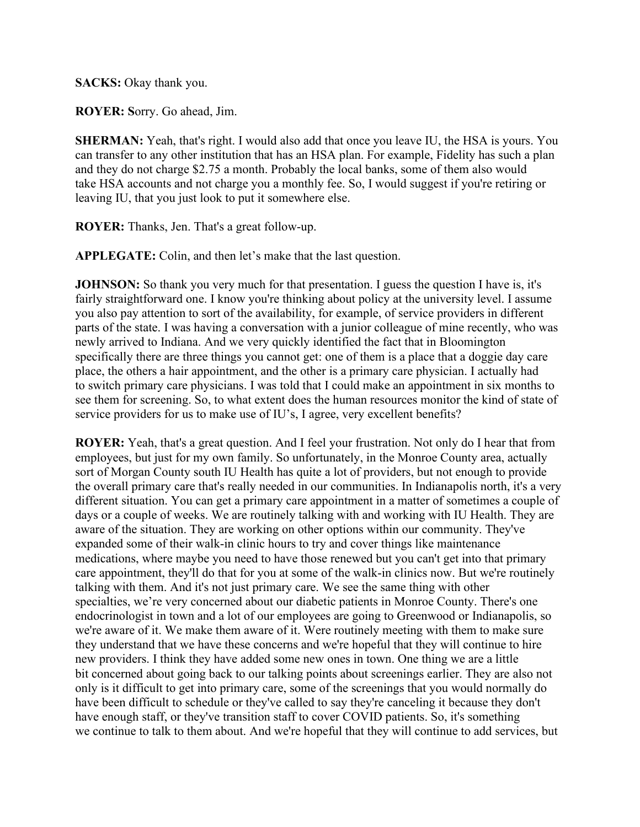**SACKS:** Okay thank you.

**ROYER: S**orry. Go ahead, Jim.

**SHERMAN:** Yeah, that's right. I would also add that once you leave IU, the HSA is yours. You can transfer to any other institution that has an HSA plan. For example, Fidelity has such a plan and they do not charge \$2.75 a month. Probably the local banks, some of them also would take HSA accounts and not charge you a monthly fee. So, I would suggest if you're retiring or leaving IU, that you just look to put it somewhere else.

**ROYER:** Thanks, Jen. That's a great follow-up.

**APPLEGATE:** Colin, and then let's make that the last question.

**JOHNSON:** So thank you very much for that presentation. I guess the question I have is, it's fairly straightforward one. I know you're thinking about policy at the university level. I assume you also pay attention to sort of the availability, for example, of service providers in different parts of the state. I was having a conversation with a junior colleague of mine recently, who was newly arrived to Indiana. And we very quickly identified the fact that in Bloomington specifically there are three things you cannot get: one of them is a place that a doggie day care place, the others a hair appointment, and the other is a primary care physician. I actually had to switch primary care physicians. I was told that I could make an appointment in six months to see them for screening. So, to what extent does the human resources monitor the kind of state of service providers for us to make use of IU's, I agree, very excellent benefits?

**ROYER:** Yeah, that's a great question. And I feel your frustration. Not only do I hear that from employees, but just for my own family. So unfortunately, in the Monroe County area, actually sort of Morgan County south IU Health has quite a lot of providers, but not enough to provide the overall primary care that's really needed in our communities. In Indianapolis north, it's a very different situation. You can get a primary care appointment in a matter of sometimes a couple of days or a couple of weeks. We are routinely talking with and working with IU Health. They are aware of the situation. They are working on other options within our community. They've expanded some of their walk-in clinic hours to try and cover things like maintenance medications, where maybe you need to have those renewed but you can't get into that primary care appointment, they'll do that for you at some of the walk-in clinics now. But we're routinely talking with them. And it's not just primary care. We see the same thing with other specialties, we're very concerned about our diabetic patients in Monroe County. There's one endocrinologist in town and a lot of our employees are going to Greenwood or Indianapolis, so we're aware of it. We make them aware of it. Were routinely meeting with them to make sure they understand that we have these concerns and we're hopeful that they will continue to hire new providers. I think they have added some new ones in town. One thing we are a little bit concerned about going back to our talking points about screenings earlier. They are also not only is it difficult to get into primary care, some of the screenings that you would normally do have been difficult to schedule or they've called to say they're canceling it because they don't have enough staff, or they've transition staff to cover COVID patients. So, it's something we continue to talk to them about. And we're hopeful that they will continue to add services, but